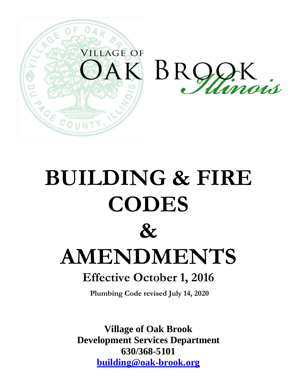

# **BUILDING & FIRE CODES**  $\mathcal{X}$ **AMENDMENTS Effective October 1, 2016**

**Plumbing Code revised July 14, 2020**

**Village of Oak Brook Development Services Department 630/368-5101 [building@oak-brook.org](mailto:building@oak-brook.org)**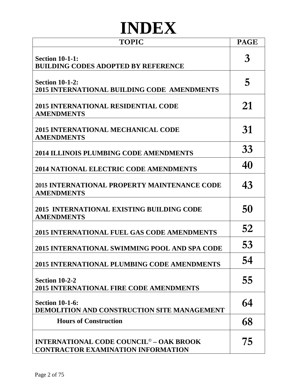## **INDEX**

| <b>TOPIC</b>                                                                                           | <b>PAGE</b> |
|--------------------------------------------------------------------------------------------------------|-------------|
| <b>Section 10-1-1:</b><br><b>BUILDING CODES ADOPTED BY REFERENCE</b>                                   | 3           |
| <b>Section 10-1-2:</b><br>2015 INTERNATIONAL BUILDING CODE AMENDMENTS                                  | 5           |
| <b>2015 INTERNATIONAL RESIDENTIAL CODE</b><br><b>AMENDMENTS</b>                                        | 21          |
| <b>2015 INTERNATIONAL MECHANICAL CODE</b><br><b>AMENDMENTS</b>                                         | 31          |
| <b>2014 ILLINOIS PLUMBING CODE AMENDMENTS</b>                                                          | 33          |
| <b>2014 NATIONAL ELECTRIC CODE AMENDMENTS</b>                                                          | 40          |
| 2015 INTERNATIONAL PROPERTY MAINTENANCE CODE<br><b>AMENDMENTS</b>                                      | 43          |
| 2015 INTERNATIONAL EXISTING BUILDING CODE<br><b>AMENDMENTS</b>                                         | 50          |
| <b>2015 INTERNATIONAL FUEL GAS CODE AMENDMENTS</b>                                                     | 52          |
| 2015 INTERNATIONAL SWIMMING POOL AND SPA CODE                                                          | 53          |
| 2015 INTERNATIONAL PLUMBING CODE AMENDMENTS                                                            | 54          |
| <b>Section 10-2-2</b><br><b>2015 INTERNATIONAL FIRE CODE AMENDMENTS</b>                                | 55          |
| <b>Section 10-1-6:</b><br>DEMOLITION AND CONSTRUCTION SITE MANAGEMENT                                  | 64          |
| <b>Hours of Construction</b>                                                                           | 68          |
| <b>INTERNATIONAL CODE COUNCIL<sup>©</sup> - OAK BROOK</b><br><b>CONTRACTOR EXAMINATION INFORMATION</b> | 75          |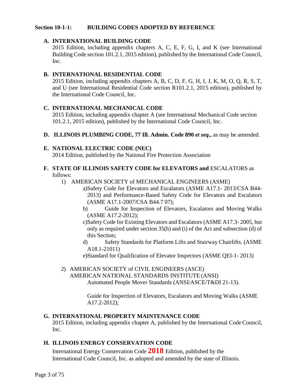#### **Section 10-1-1: BUILDING CODES ADOPTED BY REFERENCE**

#### **A. INTERNATIONAL BUILDING CODE**

2015 Edition, including appendix chapters A, C, E, F, G, I, and K (see International Building Code section 101.2.1, 2015 edition), published by the International Code Council, Inc.

#### **B. INTERNATIONAL RESIDENTIAL CODE**

2015 Edition, including appendix chapters A, B, C, D, F, G, H, I, J, K, M, O, Q, R, S, T, and U (see International Residential Code section R101.2.1, 2015 edition), published by the International Code Council, Inc.

#### **C. INTERNATIONAL MECHANICAL CODE**

2015 Edition, including appendix chapter A (see International Mechanical Code section 101.2.1, 2015 edition), published by the International Code Council, Inc.

**D. ILLINOIS PLUMBING CODE, 77 Ill. Admin. Code 890** *et seq.***,** as may be amended.

#### **E. NATIONAL ELECTRIC CODE (NEC)**

2014 Edition, published by the National Fire Protection Association

#### **F. STATE OF ILLINOIS SAFETY CODE for ELEVATORS and** ESCALATORS as follows:

- 1) AMERICAN SOCIETY of MECHANICAL ENGINEERS (ASME)
	- a)Safety Code for Elevators and Escalators (ASME A17.1- 2013/CSA B44- 2013) and Performance-Based Safety Code for Elevators and Escalators (ASME A17.1-2007/CSA B44.7 07);
	- b) Guide for Inspection of Elevators, Escalators and Moving Walks (ASME A17.2-2012);
	- c)Safety Code for Existing Elevators and Escalators (ASME A17.3- 2005, but only as required under section 35(h) and (i) of the Act and subsection (d) of this Section;
	- d) Safety Standards for Platform Lifts and Stairway Chairlifts. (ASME A18.1-21011)

e)Standard for Qualification of Elevator Inspectors (ASME QEI-1- 2013)

#### 2) AMERICAN SOCIETY of CIVIL ENGINEERS (ASCE) AMERICAN NATIONAL STANDARDS INSTITUTE (ANSI) Automated People Mover Standards (ANSI/ASCE/T&DI 21-13).

Guide for Inspection of Elevators, Escalators and Moving Walks (ASME A17.2-2012);

#### **G. INTERNATIONAL PROPERTY MAINTENANCE CODE**

2015 Edition, including appendix chapter A, published by the International CodeCouncil, Inc.

#### **H. ILLINOIS ENERGY CONSERVATION CODE**

International Energy Conservation Code **2018** Edition, published by the International Code Council, Inc. as adopted and amended by the state of Illinois.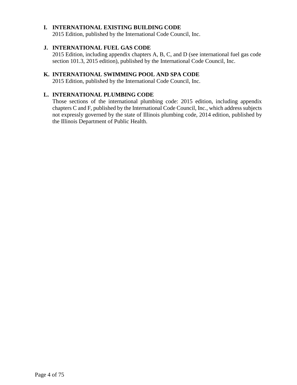#### **I. INTERNATIONAL EXISTING BUILDING CODE**

2015 Edition, published by the International Code Council, Inc.

#### **J. INTERNATIONAL FUEL GAS CODE**

2015 Edition, including appendix chapters A, B, C, and D (see international fuel gas code section 101.3, 2015 edition), published by the International Code Council, Inc.

#### **K. INTERNATIONAL SWIMMING POOL AND SPA CODE**

2015 Edition, published by the International Code Council, Inc.

#### **L. INTERNATIONAL PLUMBING CODE**

Those sections of the international plumbing code: 2015 edition, including appendix chapters C and F, published by the International Code Council, Inc., which address subjects not expressly governed by the state of Illinois plumbing code, 2014 edition, published by the Illinois Department of Public Health.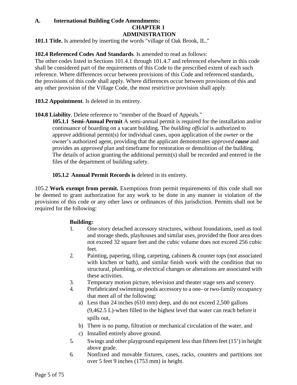#### **A. International Building Code Amendments: CHAPTER 1 ADMINISTRATION**

**101.1 Title.** Is amended by inserting the words "village of Oak Brook, IL."

#### **102.4 Referenced Codes And Standards**. Is amended to read as follows:

The other codes listed in Sections 101.4.1 through 101.4.7 and referenced elsewhere in this code shall be considered part of the requirements of this Code to the prescribed extent of each such reference. Where differences occur between provisions of this Code and referenced standards, the provisions of this code shall apply. Where differences occur between provisions of this and any other provision of the Village Code, the most restrictive provision shall apply.

**103.2 Appointment**. Is deleted in its entirety.

#### **104.8 Liability**. Delete reference to "member of the Board of Appeals."

**105.1.1 Semi-Annual Permit** A semi-annual permit is required for the installation and/or continuance of boarding on a vacant building. The *building official* is authorized to approve additional permit(s) for individual cases, upon application of the *owner* or the owner's authorized agent, providing that the applicant demonstrates *approved cause* and provides an *approved* plan and timeframe for restoration or demolition of the building. The details of action granting the additional permit(s) shall be recorded and entered in the files of the department of building safety.

**105.1.2 Annual Permit Records is** deleted in its entirety.

105.2 **Work exempt from permit.** Exemptions from permit requirements of this code shall not be deemed to grant authorization for any work to be done in any manner in violation of the provisions of this code or any other laws or ordinances of this jurisdiction. Permits shall not be required for the following:

#### **Building:**

- 1. One-story detached accessory structures, without foundations, used as tool and storage sheds, playhouses and similar uses, provided the floor area does not exceed 32 square feet and the cubic volume does not exceed 256 cubic feet.
- 2. Painting, papering, tiling, carpeting, cabinets & counter tops (not associated with kitchen or bath), and similar finish work with the condition that no structural, plumbing, or electrical changes or alterations are associated with these activities.
- 3. Temporary motion picture, television and theater stage sets and scenery.
- 4. Prefabricated swimming pools accessory to a one- or two-family occupancy that meet all of the following:
	- a) Less than 24 inches (610 mm) deep, and do not exceed 2,500 gallons (9,462.5 L)-when filled to the highest level that water can reach before it spills out,
	- b) There is no pump, filtration or mechanical circulation of the water, and
	- c) Installed entirely above ground.
- 5. Swings and other playground equipment less than fifteen feet (15') in height above grade.
- 6. Nonfixed and movable fixtures, cases, racks, counters and partitions not over 5 feet 9 inches (1753 mm) in height.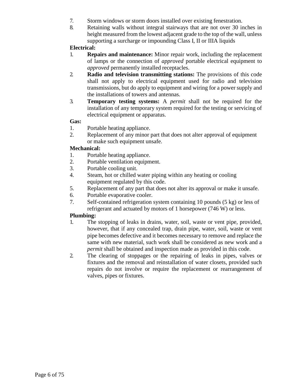- 7. Storm windows or storm doors installed over existing fenestration.
- 8. Retaining walls without integral stairways that are not over 30 inches in height measured from the lowest adjacent grade to the top of the wall, unless supporting a surcharge or impounding Class I, II or IIIA liquids

#### **Electrical:**

- 1. **Repairs and maintenance:** Minor repair work, including the replacement of lamps or the connection of *approved* portable electrical equipment to *approved* permanently installed receptacles.
- 2. **Radio and television transmitting stations:** The provisions of this code shall not apply to electrical equipment used for radio and television transmissions, but do apply to equipment and wiring for a power supply and the installations of towers and antennas.
- 3. **Temporary testing systems:** A *permit* shall not be required for the installation of any temporary system required for the testing or servicing of electrical equipment or apparatus.

#### **Gas:**

- 1. Portable heating appliance.
- 2. Replacement of any minor part that does not alter approval of equipment or make such equipment unsafe.

#### **Mechanical:**

- 1. Portable heating appliance.<br>2. Portable ventilation equipm
- Portable ventilation equipment.
- 3. Portable cooling unit.
- 4. Steam, hot or chilled water piping within any heating or cooling equipment regulated by this code.
- 5. Replacement of any part that does not alter its approval or make it unsafe.
- 6. Portable evaporative cooler.
- 7. Self-contained refrigeration system containing 10 pounds (5 kg) or less of refrigerant and actuated by motors of 1 horsepower (746 W) or less.

#### **Plumbing:**

- 1. The stopping of leaks in drains, water, soil, waste or vent pipe, provided, however, that if any concealed trap, drain pipe, water, soil, waste or vent pipe becomes defective and it becomes necessary to remove and replace the same with new material, such work shall be considered as new work and a *permit* shall be obtained and inspection made as provided in this code.
- 2. The clearing of stoppages or the repairing of leaks in pipes, valves or fixtures and the removal and reinstallation of water closets, provided such repairs do not involve or require the replacement or rearrangement of valves, pipes or fixtures.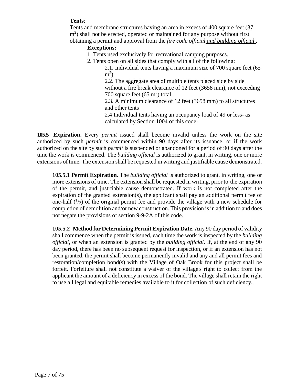#### **Tents**:

Tents and membrane structures having an area in excess of 400 square feet (37 m<sup>2</sup>) shall not be erected, operated or maintained for any purpose without first obtaining a permit and approval from the *fire code official and building official* .

#### **Exceptions:**

- 1. Tents used exclusively for recreational camping purposes.
- 2. Tents open on all sides that comply with all of the following:

2.1. Individual tents having a maximum size of 700 square feet (65  $m<sup>2</sup>$ ).

2.2. The aggregate area of multiple tents placed side by side without a fire break clearance of 12 feet (3658 mm), not exceeding 700 square feet  $(65 \text{ m}^2)$  total.

2.3. A minimum clearance of 12 feet (3658 mm) to all structures and other tents

2.4 Individual tents having an occupancy load of 49 or less- as calculated by Section 1004 of this code.

**105.5 Expiration.** Every *permit* issued shall become invalid unless the work on the site authorized by such *permit* is commenced within 90 days after its issuance, or if the work authorized on the site by such *permit* is suspended or abandoned for a period of 90 days after the time the work is commenced. The *building official* is authorized to grant, in writing, one or more extensions of time. The extension shall be requested in writing and justifiable cause demonstrated.

**105.5.1 Permit Expiration.** The *building official* is authorized to grant, in writing, one or more extensions of time. The extension shall be requested in writing, prior to the expiration of the permit, and justifiable cause demonstrated. If work is not completed after the expiration of the granted extension(s), the applicant shall pay an additional permit fee of one-half  $(1/2)$  of the original permit fee and provide the village with a new schedule for completion of demolition and/or new construction. This provision is in addition to and does not negate the provisions of section [9-9-2A o](http://sterling.webiness.com/codebook/?ft=3&find=9-9-2A)f this code.

**105.5.2 Method for Determining Permit Expiration Date**. Any 90 day period of validity shall commence when the permit is issued, each time the work is inspected by the *building official*, or when an extension is granted by the *building official*. If, at the end of any 90 day period, there has been no subsequent request for inspection, or if an extension has not been granted, the permit shall become permanently invalid and any and all permit fees and restoration/completion bond(s) with the Village of Oak Brook for this project shall be forfeit. Forfeiture shall not constitute a waiver of the village's right to collect from the applicant the amount of a deficiency in excess of the bond. The village shall retain the right to use all legal and equitable remedies available to it for collection of such deficiency.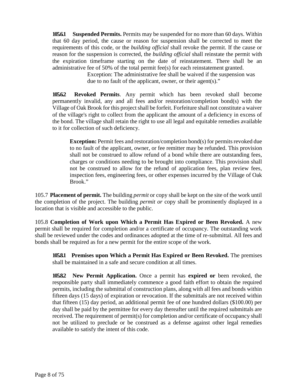**105.6.1 Suspended Permits.** Permits may be suspended for no more than 60 days. Within that 60 day period, the cause or reason for suspension shall be corrected to meet the requirements of this code, or the *building official* shall revoke the permit. If the cause or reason for the suspension is corrected, the *building official* shall reinstate the permit with the expiration timeframe starting on the date of reinstatement. There shall be an administrative fee of 50% of the total permit fee(s) for each reinstatement granted.

> Exception: The administrative fee shall be waived if the suspension was due to no fault of the applicant, owner, or their agent(s)."

**105.6.2 Revoked Permits**. Any permit which has been revoked shall become permanently invalid, any and all fees and/or restoration/completion bond(s) with the Village of Oak Brook for this project shall be forfeit. Forfeiture shall not constitute a waiver of the village's right to collect from the applicant the amount of a deficiency in excess of the bond. The village shall retain the right to use all legal and equitable remedies available to it for collection of such deficiency.

**Exception:** Permit fees and restoration/completion bond(s) for permits revoked due to no fault of the applicant, owner, or fee remitter may be refunded. This provision shall not be construed to allow refund of a bond while there are outstanding fees, charges or conditions needing to be brought into compliance. This provision shall not be construed to allow for the refund of application fees, plan review fees, inspection fees, engineering fees, or other expenses incurred by the Village of Oak Brook."

105.7 **Placement of permit.** The building *permit* or copy shall be kept on the site of the work until the completion of the project. The building *permit or* copy shall be prominently displayed in a location that is visible and accessible to the public.

105.8 **Completion of Work upon Which a Permit Has Expired or Been Revoked.** A new permit shall be required for completion and/or a certificate of occupancy. The outstanding work shall be reviewed under the codes and ordinances adopted at the time of re-submittal. All fees and bonds shall be required as for a new permit for the entire scope of the work.

**105.8.1 Premises upon Which a Permit Has Expired or Been Revoked.** The premises shall be maintained in a safe and secure condition at all times.

**105.8.2 New Permit Application.** Once a permit has **expired or** been revoked, the responsible party shall immediately commence a good faith effort to obtain the required permits, including the submittal of construction plans, along with all fees and bonds within fifteen days (15 days) of expiration or revocation. If the submittals are not received within that fifteen (15) day period, an additional permit fee of one hundred dollars (\$100.00) per day shall be paid by the permittee for every day thereafter until the required submittals are received. The requirement of permit(s) for completion and/or certificate of occupancy shall not be utilized to preclude or be construed as a defense against other legal remedies available to satisfy the intent of this code.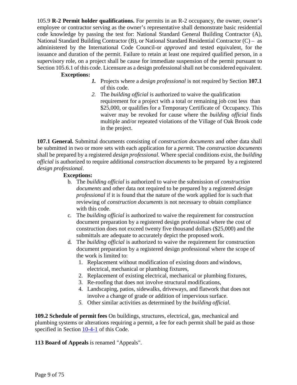105.9 **R-2 Permit holder qualifications.** For permits in an R-2 occupancy, the owner, owner's employee or contractor serving as the owner's representative shall demonstrate basic residential code knowledge by passing the test for: National Standard General Building Contractor (A), National Standard Building Contractor (B), or National Standard Residential Contractor (C) – as administered by the International Code Council-or *approved* and tested equivalent, for the issuance and duration of the permit. Failure to retain at least one required qualified person, in a supervisory role, on a project shall be cause for immediate suspension of the permit pursuant to Section 105.6.1 of this code. Licensure as a design professional shall not be considered equivalent.

#### **Exceptions:**

- *1.* Projects where a *design professional* is not required by Section **107.1** of this code.
- *2.* The *building official* is authorized to waive the qualification requirement for a project with a total or remaining job cost less than \$25,000, or qualifies for a Temporary Certificate of Occupancy. This waiver may be revoked for cause where the *building official* finds multiple and/or repeated violations of the Village of Oak Brook code in the project.

**107.1 General.** Submittal documents consisting of *construction documents* and other data shall be submitted in two or more sets with each application for a *permit.* The *construction documents*  shall be prepared by a registered *design professional.* Where special conditions exist, the *building official* is authorized to require additional *construction documents* to be prepared by a registered *design professional*.

#### **Exceptions:**

- b. The *building official* is authorized to waive the submission of *construction documents* and other data not required to be prepared by a registered *design professional* if it is found that the nature of the work applied for is such that reviewing of *construction documents* is not necessary to obtain compliance with this code.
- c. The *building official* is authorized to waive the requirement for construction document preparation by a registered design professional where the cost of construction does not exceed twenty five thousand dollars (\$25,000) and the submittals are adequate to accurately depict the proposed work.
- d. The *building official* is authorized to waive the requirement for construction document preparation by a registered design professional where the scope of the work is limited to:
	- 1. Replacement without modification of existing doors and windows, electrical, mechanical or plumbing fixtures,
	- 2. Replacement of existing electrical, mechanical or plumbing fixtures,
	- 3. Re-roofing that does not involve structural modifications,
	- 4. Landscaping, patios, sidewalks, driveways, and flatwork that does not involve a change of grade or addition of impervious surface.
	- *5.* Other similar activities as determined by the *building official.*

**109.2 Schedule of permit fees** On buildings, structures, electrical, gas, mechanical and plumbing systems or alterations requiring a permit, a fee for each permit shall be paid as those specified in Section [10-4-1](http://www.sterlingcodifiers.com/codebook/getBookData.php?ft=3&find=10-4-1) of this Code.

**113 Board of Appeals** is renamed "Appeals".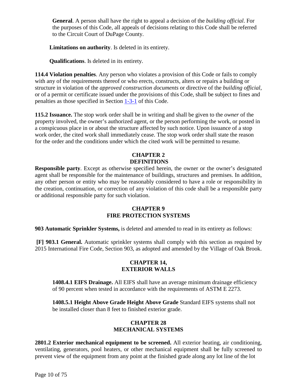**General**. A person shall have the right to appeal a decision of the *building official*. For the purposes of this Code, all appeals of decisions relating to this Code shall be referred to the Circuit Court of DuPage County.

**Limitations on authority**. Is deleted in its entirety.

**Qualifications**. Is deleted in its entirety.

**114.4 Violation penalties**. Any person who violates a provision of this Code or fails to comply with any of the requirements thereof or who erects, constructs, alters or repairs a building or structure in violation of the *approved construction documents* or directive of the *building official*, or of a permit or certificate issued under the provisions of this Code, shall be subject to fines and penalties as those specified in Section [1-3-1](http://www.sterlingcodifiers.com/codebook/getBookData.php?ft=3&find=1-3-1) of this Code.

**115.2 Issuance.** The stop work order shall be in writing and shall be given to the *owner* of the property involved, the owner's authorized agent, or the person performing the work, or posted in a conspicuous place in or about the structure affected by such notice. Upon issuance of a stop work order, the cited work shall immediately cease. The stop work order shall state the reason for the order and the conditions under which the cited work will be permitted to resume.

#### **CHAPTER 2 DEFINITIONS**

**Responsible party**. Except as otherwise specified herein, the owner or the owner's designated agent shall be responsible for the maintenance of buildings, structures and premises. In addition, any other person or entity who may be reasonably considered to have a role or responsibility in the creation, continuation, or correction of any violation of this code shall be a responsible party or additional responsible party for such violation.

#### **CHAPTER 9 FIRE PROTECTION SYSTEMS**

**903 Automatic Sprinkler Systems,** is deleted and amended to read in its entirety as follows:

**[F] 903.1 General.** Automatic sprinkler systems shall comply with this section as required by 2015 International Fire Code, Section 903, as adopted and amended by the Village of Oak Brook.

#### **CHAPTER 14, EXTERIOR WALLS**

**1408.4.1 EIFS Drainage.** All EIFS shall have an average minimum drainage efficiency of 90 percent when tested in accordance with the requirements of ASTM E 2273.

**1408.5.1 Height Above Grade Height Above Grade** Standard EIFS systems shall not be installed closer than 8 feet to finished exterior grade.

#### **CHAPTER 28 MECHANICAL SYSTEMS**

**2801.2 Exterior mechanical equipment to be screened.** All exterior heating, air conditioning, ventilating, generators, pool heaters, or other mechanical equipment shall be fully screened to prevent view of the equipment from any point at the finished grade along any lot line of the lot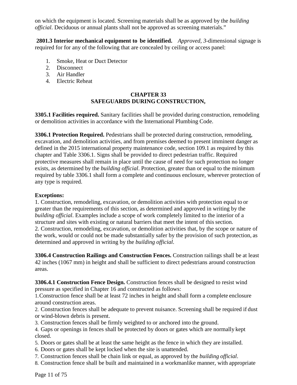on which the equipment is located. Screening materials shall be as approved by the *building official*. Deciduous or annual plants shall not be approved as screening materials."

**2801.3 Interior mechanical equipment to be identified.** *Approved, 3-*dimensional signage is required for for any of the following that are concealed by ceiling or access panel:

- 1. Smoke, Heat or Duct Detector
- 2. Disconnect
- 3. Air Handler
- 4. Electric Reheat

#### **CHAPTER 33 SAFEGUARDS DURING CONSTRUCTION,**

**3305.1 Facilities required.** Sanitary facilities shall be provided during construction, remodeling or demolition activities in accordance with the International Plumbing Code.

**3306.1 Protection Required.** Pedestrians shall be protected during construction, remodeling, excavation, and demolition activities, and from premises deemed to present imminent danger as defined in the 2015 international property maintenance code, section 109.1 as required by this chapter and Table 3306.1. Signs shall be provided to direct pedestrian traffic. Required protective measures shall remain in place until the cause of need for such protection no longer exists, as determined by the *building official*. Protection, greater than or equal to the minimum required by table 3306.1 shall form a complete and continuous enclosure, wherever protection of any type is required.

#### **Exceptions:**

1. Construction, remodeling, excavation, or demolition activities with protection equal to or greater than the requirements of this section, as determined and approved in writing by the *building official*. Examples include a scope of work completely limited to the interior of a structure and sites with existing or natural barriers that meet the intent of this section. 2. Construction, remodeling, excavation, or demolition activities that, by the scope or nature of the work, would or could not be made substantially safer by the provision of such protection, as determined and approved in writing by the *building official*.

**3306.4 Construction Railings and Construction Fences.** Construction railings shall be at least 42 inches (1067 mm) in height and shall be sufficient to direct pedestrians around construction areas.

**3306.4.1 Construction Fence Design.** Construction fences shall be designed to resist wind pressure as specified in Chapter 16 and constructed as follows:

1.Construction fence shall be at least 72 inches in height and shall form a complete enclosure around construction areas.

2. Construction fences shall be adequate to prevent nuisance. Screening shall be required if dust or wind-blown debris is present.

3. Construction fences shall be firmly weighted to or anchored into the ground.

4. Gaps or openings in fences shall be protected by doors or gates which are normally kept closed.

- 5. Doors or gates shall be at least the same height as the fence in which they are installed.
- 6. Doors or gates shall be kept locked when the site is unattended.
- 7. Construction fences shall be chain link or equal, as approved by the *building official*.
- 8. Construction fence shall be built and maintained in a workmanlike manner, with appropriate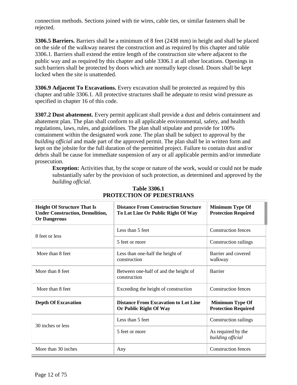connection methods. Sections joined with tie wires, cable ties, or similar fasteners shall be rejected.

**3306.5 Barriers.** Barriers shall be a minimum of 8 feet (2438 mm) in height and shall be placed on the side of the walkway nearest the construction and as required by this chapter and table 3306.1. Barriers shall extend the entire length of the construction site where adjacent to the public way and as required by this chapter and table 3306.1 at all other locations. Openings in such barriers shall be protected by doors which are normally kept closed. Doors shall be kept locked when the site is unattended.

**3306.9 Adjacent To Excavations.** Every excavation shall be protected as required by this chapter and table 3306.1. All protective structures shall be adequate to resist wind pressure as specified in chapter 16 of this code.

**3307.2 Dust abatement.** Every permit applicant shall provide a dust and debris containment and abatement plan. The plan shall conform to all applicable environmental, safety, and health regulations, laws, rules, and guidelines. The plan shall stipulate and provide for 100% containment within the designated work zone. The plan shall be subject to approval by the *building official* and made part of the approved permit. The plan shall be in written form and kept on the jobsite for the full duration of the permitted project. Failure to contain dust and/or debris shall be cause for immediate suspension of any or all applicable permits and/or immediate prosecution.

**Exception:** Activities that, by the scope or nature of the work, would or could not be made substantially safer by the provision of such protection, as determined and approved by the *building official*.

| <b>Height Of Structure That Is</b><br><b>Under Construction, Demolition,</b><br><b>Or Dangerous</b> | <b>Distance From Construction Structure</b><br>To Lot Line Or Public Right Of Way | <b>Minimum Type Of</b><br><b>Protection Required</b> |
|-----------------------------------------------------------------------------------------------------|-----------------------------------------------------------------------------------|------------------------------------------------------|
| 8 feet or less                                                                                      | Less than 5 feet                                                                  | <b>Construction fences</b>                           |
|                                                                                                     | 5 feet or more                                                                    | Construction railings                                |
| More than 8 feet                                                                                    | Less than one-half the height of<br>construction                                  | Barrier and covered<br>walkway                       |
| More than 8 feet                                                                                    | Between one-half of and the height of<br>construction                             | <b>Barrier</b>                                       |
| More than 8 feet                                                                                    | Exceeding the height of construction                                              | <b>Construction fences</b>                           |
| <b>Depth Of Excavation</b>                                                                          | <b>Distance From Excavation to Lot Line</b><br>Or Public Right Of Way             | <b>Minimum Type Of</b><br><b>Protection Required</b> |
| 30 inches or less                                                                                   | Less than 5 feet                                                                  | Construction railings                                |
|                                                                                                     | 5 feet or more                                                                    | As required by the<br>building official              |
| More than 30 inches                                                                                 | Any                                                                               | <b>Construction fences</b>                           |

#### **Table 3306.1 PROTECTION OF PEDESTRIANS**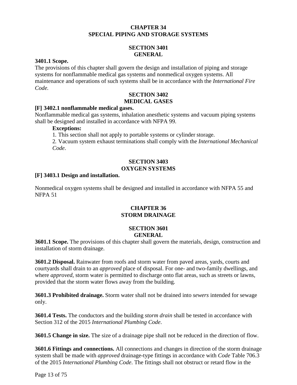#### **CHAPTER 34 SPECIAL PIPING AND STORAGE SYSTEMS**

#### **SECTION 3401 GENERAL**

#### **3401.1 Scope.**

The provisions of this chapter shall govern the design and installation of piping and storage systems for nonflammable medical gas systems and nonmedical oxygen systems. All maintenance and operations of such systems shall be in accordance with the *International Fire Code.*

#### **SECTION 3402 MEDICAL GASES**

#### **[F] 3402.1 nonflammable medical gases.**

Nonflammable medical gas systems, inhalation anesthetic systems and vacuum piping systems shall be designed and installed in accordance with NFPA 99.

#### **Exceptions:**

1. This section shall not apply to portable systems or cylinder storage.

2. Vacuum system exhaust terminations shall comply with the *International Mechanical Code*.

#### **SECTION 3403 OXYGEN SYSTEMS**

#### **[F] 3403.1 Design and installation.**

Nonmedical oxygen systems shall be designed and installed in accordance with NFPA 55 and NFPA 51

#### **CHAPTER 36 STORM DRAINAGE**

#### **SECTION 3601 GENERAL**

**3601.1 Scope.** The provisions of this chapter shall govern the materials, design, construction and installation of storm drainage.

**3601.2 Disposal.** Rainwater from roofs and storm water from paved areas, yards, courts and courtyards shall drain to an *approved* place of disposal. For one- and two-family dwellings, and where *approved*, storm water is permitted to discharge onto flat areas, such as streets or lawns, provided that the storm water flows away from the building.

**3601.3 Prohibited drainage.** Storm water shall not be drained into *sewers* intended for sewage only.

**3601.4 Tests.** The conductors and the building *storm drain* shall be tested in accordance with Section 312 of the 2015 *International Plumbing Code*.

**3601.5 Change in size.** The size of a drainage pipe shall not be reduced in the direction of flow.

**3601.6 Fittings and connections.** All connections and changes in direction of the storm drainage system shall be made with *approved* drainage-type fittings in accordance with *Code* Table 706.3 of the 2015 *International Plumbing Code*. The fittings shall not obstruct or retard flow in the

Page 13 of 75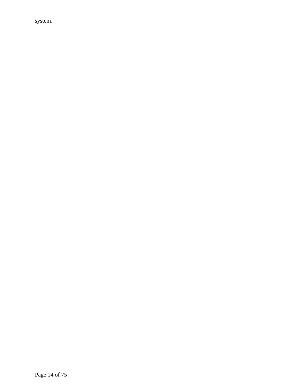system.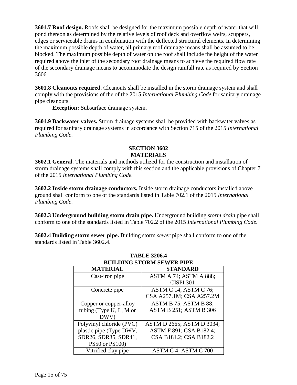**3601.7 Roof design.** Roofs shall be designed for the maximum possible depth of water that will pond thereon as determined by the relative levels of roof deck and overflow weirs, scuppers, edges or serviceable drains in combination with the deflected structural elements. In determining the maximum possible depth of water, all primary roof drainage means shall be assumed to be blocked. The maximum possible depth of water on the roof shall include the height of the water required above the inlet of the secondary roof drainage means to achieve the required flow rate of the secondary drainage means to accommodate the design rainfall rate as required by Section 3606.

**3601.8 Cleanouts required.** Cleanouts shall be installed in the storm drainage system and shall comply with the provisions of the of the 2015 *International Plumbing Code* for sanitary drainage pipe cleanouts.

**Exception:** Subsurface drainage system.

**3601.9 Backwater valves.** Storm drainage systems shall be provided with backwater valves as required for sanitary drainage systems in accordance with Section 715 of the 2015 *International Plumbing Code*.

#### **SECTION 3602 MATERIALS**

**3602.1 General.** The materials and methods utilized for the construction and installation of storm drainage systems shall comply with this section and the applicable provisions of Chapter 7 of the 2015 *International Plumbing Code.*

**3602.2 Inside storm drainage conductors.** Inside storm drainage conductors installed above ground shall conform to one of the standards listed in Table 702.1 of the 2015 *International Plumbing Code*.

**3602.3 Underground building storm drain pipe.** Underground building *storm drain* pipe shall conform to one of the standards listed in Table 702.2 of the 2015 *International Plumbing Code*.

**3602.4 Building storm sewer pipe.** Building storm *sewer* pipe shall conform to one of the standards listed in Table 3602.4.

| <b>BUILDING STORM SEWER PIPE</b> |                           |  |
|----------------------------------|---------------------------|--|
| <b>MATERIAL</b>                  | <b>STANDARD</b>           |  |
| Cast-iron pipe                   | ASTM A 74; ASTM A 888;    |  |
|                                  | <b>CISPI 301</b>          |  |
| Concrete pipe                    | ASTM C 14; ASTM C 76;     |  |
|                                  | CSA A257.1M; CSA A257.2M  |  |
| Copper or copper-alloy           | ASTM B 75; ASTM B 88;     |  |
| tubing (Type $K, L, M$ or        | ASTM B 251; ASTM B 306    |  |
| DWV)                             |                           |  |
| Polyvinyl chloride (PVC)         | ASTM D 2665; ASTM D 3034; |  |
| plastic pipe (Type DWV,          | ASTM F 891; CSA B182.4;   |  |
| SDR26, SDR35, SDR41,             | CSA B181.2; CSA B182.2    |  |
| PS50 or PS100)                   |                           |  |
| Vitrified clay pipe              | ASTM C 4; ASTM C 700      |  |

## **TABLE 3206.4**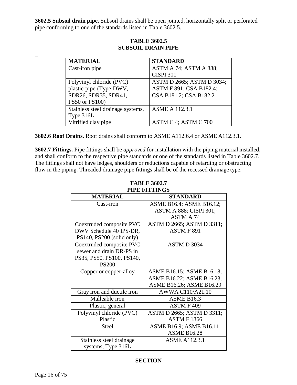**3602.5 Subsoil drain pipe.** Subsoil drains shall be open jointed, horizontally split or perforated pipe conforming to one of the standards listed in Table 3602.5.

| <b>STANDARD</b>           |
|---------------------------|
| ASTM A 74; ASTM A 888;    |
| <b>CISPI 301</b>          |
| ASTM D 2665; ASTM D 3034; |
| ASTM F 891; CSA B182.4;   |
| CSA B181.2; CSA B182.2    |
|                           |
| <b>ASME A 112.3.1</b>     |
|                           |
| ASTM C 4; ASTM C 700      |
|                           |

#### **TABLE 3602.5 SUBSOIL DRAIN PIPE**

**3602.6 Roof Drains.** Roof drains shall conform to ASME A112.6.4 or ASME A112.3.1.

**3602.7 Fittings.** Pipe fittings shall be *approved* for installation with the piping material installed, and shall conform to the respective pipe standards or one of the standards listed in Table 3602.7. The fittings shall not have ledges, shoulders or reductions capable of retarding or obstructing flow in the piping. Threaded drainage pipe fittings shall be of the recessed drainage type.

| PIPE FITTINGS              |                           |  |  |
|----------------------------|---------------------------|--|--|
| <b>MATERIAL</b>            | <b>STANDARD</b>           |  |  |
| Cast-iron                  | ASME B16.4; ASME B16.12;  |  |  |
|                            | ASTM A 888; CISPI 301;    |  |  |
|                            | <b>ASTM A 74</b>          |  |  |
| Coextruded composite PVC   | ASTM D 2665; ASTM D 3311; |  |  |
| DWV Schedule 40 IPS-DR,    | ASTMF891                  |  |  |
| PS140, PS200 (solid only)  |                           |  |  |
| Coextruded composite PVC   | ASTM D 3034               |  |  |
| sewer and drain DR-PS in   |                           |  |  |
| PS35, PS50, PS100, PS140,  |                           |  |  |
| <b>PS200</b>               |                           |  |  |
| Copper or copper-alloy     | ASME B16.15; ASME B16.18; |  |  |
|                            | ASME B16.22; ASME B16.23; |  |  |
|                            | ASME B16.26; ASME B16.29  |  |  |
| Gray iron and ductile iron | AWWA C110/A21.10          |  |  |
| Malleable iron             | <b>ASME B16.3</b>         |  |  |
| Plastic, general           | ASTM F 409                |  |  |
| Polyvinyl chloride (PVC)   | ASTM D 2665; ASTM D 3311; |  |  |
| Plastic                    | <b>ASTM F 1866</b>        |  |  |
| <b>Steel</b>               | ASME B16.9; ASME B16.11;  |  |  |
|                            | <b>ASME B16.28</b>        |  |  |
| Stainless steel drainage   | <b>ASME A112.3.1</b>      |  |  |
| systems, Type 316L         |                           |  |  |

### **TABLE 3602.7**

#### **SECTION**

\_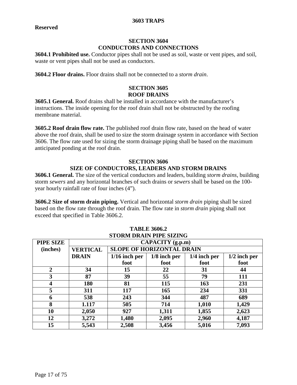#### **3603 TRAPS**

#### **SECTION 3604 CONDUCTORS AND CONNECTIONS**

**3604.1 Prohibited use.** Conductor pipes shall not be used as soil, waste or vent pipes, and soil, waste or vent pipes shall not be used as conductors.

**3604.2 Floor drains.** Floor drains shall not be connected to a *storm drain*.

#### **SECTION 3605 ROOF DRAINS**

**3605.1 General.** Roof drains shall be installed in accordance with the manufacturer's instructions. The inside opening for the roof drain shall not be obstructed by the roofing membrane material.

**3605.2 Roof drain flow rate.** The published roof drain flow rate, based on the head of water above the roof drain, shall be used to size the storm drainage system in accordance with Section 3606. The flow rate used for sizing the storm drainage piping shall be based on the maximum anticipated ponding at the roof drain.

#### **SECTION 3606 SIZE OF CONDUCTORS, LEADERS AND STORM DRAINS**

**3606.1 General.** The size of the vertical conductors and leaders, building *storm drains*, building storm *sewers* and any horizontal branches of such drains or *sewers* shall be based on the 100 year hourly rainfall rate of four inches (4").

**3606.2 Size of storm drain piping.** Vertical and horizontal *storm drain* piping shall be sized based on the flow rate through the roof drain. The flow rate in *storm drain* piping shall not exceed that specified in Table 3606.2.

| STORM DRAIN PIPE SIZING |                 |                                  |                |                |                |
|-------------------------|-----------------|----------------------------------|----------------|----------------|----------------|
| PIPE SIZE               |                 | CAPACITY (g.p.m)                 |                |                |                |
| (inches)                | <b>VERTICAL</b> | <b>SLOPE OF HORIZONTAL DRAIN</b> |                |                |                |
|                         | <b>DRAIN</b>    | $1/16$ inch per                  | $1/8$ inch per | $1/4$ inch per | $1/2$ inch per |
|                         |                 | foot                             | foot           | foot           | foot           |
| $\overline{2}$          | 34              | 15                               | 22             | 31             | 44             |
| 3                       | 87              | 39                               | 55             | 79             | 111            |
| $\boldsymbol{4}$        | 180             | 81                               | 115            | 163            | 231            |
| 5                       | 311             | 117                              | 165            | 234            | 331            |
| 6                       | 538             | 243                              | 344            | 487            | 689            |
| 8                       | 1.117           | 505                              | 714            | 1,010          | 1,429          |
| 10                      | 2,050           | 927                              | 1,311          | 1,855          | 2,623          |
| 12                      | 3,272           | 1,480                            | 2,095          | 2,960          | 4,187          |
| 15                      | 5,543           | 2,508                            | 3,456          | 5,016          | 7,093          |

#### **TABLE 3606.2**<br>**CEODALD LINE OF STORM DRAIN PIPE SIZING**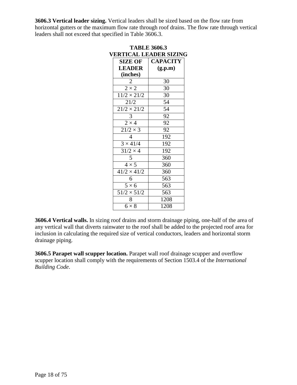**3606.3 Vertical leader sizing.** Vertical leaders shall be sized based on the flow rate from horizontal gutters or the maximum flow rate through roof drains. The flow rate through vertical leaders shall not exceed that specified in Table 3606.3.

| <b>TABLE 3606.3</b>           |                        |                 |  |
|-------------------------------|------------------------|-----------------|--|
| <b>VERTICAL LEADER SIZING</b> |                        |                 |  |
|                               | <b>SIZE OF</b>         | <b>CAPACITY</b> |  |
|                               | <b>LEADER</b>          | (g.p.m)         |  |
|                               | (inches)               |                 |  |
|                               | 2                      | 30              |  |
|                               | $\overline{2\times 2}$ | 30              |  |
|                               | $11/2 \times 21/2$     | 30              |  |
|                               | 21/2                   | 54              |  |
|                               | $21/2 \times 21/2$     | 54              |  |
|                               | 3                      | 92              |  |
|                               | $2 \times 4$           | 92              |  |
|                               | $21/2 \times 3$        | 92              |  |
|                               | 4                      | 192             |  |
|                               | $3 \times 41/4$        | 192             |  |
|                               | $31/2 \times 4$        | 192             |  |
|                               | 5                      | 360             |  |
|                               | $4 \times 5$           | 360             |  |
|                               | $41/2 \times 41/2$     | 360             |  |
|                               | 6                      | 563             |  |
|                               | $5 \times 6$           | 563             |  |
|                               | $51/2 \times 51/2$     | 563             |  |
|                               | 8                      | 1208            |  |
|                               | $6 \times 8$           | 1208            |  |
|                               |                        |                 |  |

**3606.4 Vertical walls.** In sizing roof drains and storm drainage piping, one-half of the area of any vertical wall that diverts rainwater to the roof shall be added to the projected roof area for inclusion in calculating the required size of vertical conductors, leaders and horizontal storm drainage piping.

**3606.5 Parapet wall scupper location.** Parapet wall roof drainage scupper and overflow scupper location shall comply with the requirements of Section 1503.4 of the *International Building Code*.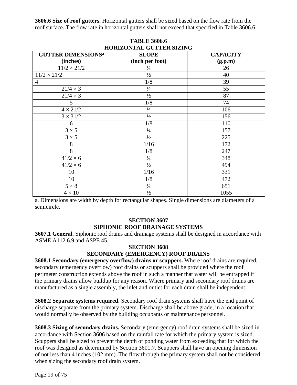**3606.6 Size of roof gutters.** Horizontal gutters shall be sized based on the flow rate from the roof surface. The flow rate in horizontal gutters shall not exceed that specified in Table 3606.6.

| <b>HORIZONTAL GUTTER SIZING</b>      |                 |                 |  |
|--------------------------------------|-----------------|-----------------|--|
| <b>GUTTER DIMENSIONS<sup>a</sup></b> | <b>SLOPE</b>    | <b>CAPACITY</b> |  |
| (inches)                             | (inch per foot) | (g.p.m)         |  |
| $11/2 \times 21/2$                   | $\frac{1}{4}$   | 26              |  |
| $11/2 \times 21/2$                   | $\frac{1}{2}$   | 40              |  |
| 4                                    | 1/8             | 39              |  |
| $21/4 \times 3$                      | $\frac{1}{4}$   | 55              |  |
| $21/4 \times 3$                      | $\frac{1}{2}$   | 87              |  |
| 5                                    | 1/8             | 74              |  |
| $4 \times 21/2$                      | $\frac{1}{4}$   | 106             |  |
| $3 \times 31/2$                      | $\frac{1}{2}$   | 156             |  |
| 6                                    | 1/8             | 110             |  |
| $3 \times 5$                         | $\frac{1}{4}$   | 157             |  |
| $3 \times 5$                         | $\frac{1}{2}$   | 225             |  |
| 8                                    | 1/16            | 172             |  |
| 8                                    | 1/8             | 247             |  |
| $41/2 \times 6$                      | $\frac{1}{4}$   | 348             |  |
| $41/2 \times 6$                      | $\frac{1}{2}$   | 494             |  |
| 10                                   | 1/16            | 331             |  |
| 10                                   | 1/8             | 472             |  |
| $5 \times 8$                         | $\frac{1}{4}$   | 651             |  |
| $4 \times 10$                        | $\frac{1}{2}$   | 1055            |  |

**TABLE 3606.6** 

a. Dimensions are width by depth for rectangular shapes. Single dimensions are diameters of a semicircle.

#### **SECTION 3607 SIPHONIC ROOF DRAINAGE SYSTEMS**

**3607.1 General.** Siphonic roof drains and drainage systems shall be designed in accordance with ASME A112.6.9 and ASPE 45.

#### **SECTION 3608 SECONDARY (EMERGENCY) ROOF DRAINS**

**3608.1 Secondary (emergency overflow) drains or scuppers.** Where roof drains are required, secondary (emergency overflow) roof drains or scuppers shall be provided where the roof perimeter construction extends above the roof in such a manner that water will be entrapped if the primary drains allow buildup for any reason. Where primary and secondary roof drains are manufactured as a single assembly, the inlet and outlet for each drain shall be independent.

**3608.2 Separate systems required.** Secondary roof drain systems shall have the end point of discharge separate from the primary system. Discharge shall be above grade, in a location that would normally be observed by the building occupants or maintenance personnel.

**3608.3 Sizing of secondary drains.** Secondary (emergency) roof drain systems shall be sized in accordance with Section 3606 based on the rainfall rate for which the primary system is sized. Scuppers shall be sized to prevent the depth of ponding water from exceeding that for which the roof was designed as determined by Section 3601.7. Scuppers shall have an opening dimension of not less than 4 inches (102 mm). The flow through the primary system shall not be considered when sizing the secondary roof drain system.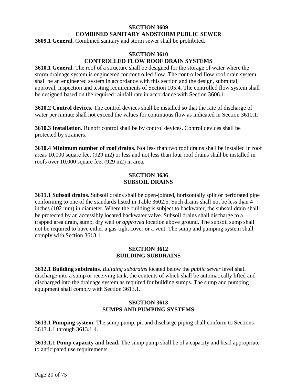#### **SECTION 3609 COMBINED SANITARY ANDSTORM PUBLIC SEWER**

**3609.1 General.** Combined sanitary and storm sewer shall be prohibited.

#### **SECTION 3610 CONTROLLED FLOW ROOF DRAIN SYSTEMS**

**3610.1 General.** The roof of a structure shall be designed for the storage of water where the storm drainage system is engineered for controlled flow. The controlled flow roof drain system shall be an engineered system in accordance with this section and the design, submittal, approval, inspection and testing requirements of Section 105.4. The controlled flow system shall be designed based on the required rainfall rate in accordance with Section 3606.1.

**3610.2 Control devices.** The control devices shall be installed so that the rate of discharge of water per minute shall not exceed the values for continuous flow as indicated in Section 3610.1.

**3610.3 Installation.** Runoff control shall be by control devices. Control devices shall be protected by strainers.

**3610.4 Minimum number of roof drains.** Not less than two roof drains shall be installed in roof areas 10,000 square feet (929 m2) or less and not less than four roof drains shall be installed in roofs over 10,000 square feet (929 m2) in area.

#### **SECTION 3636 SUBSOIL DRAINS**

**3611.1 Subsoil drains.** Subsoil drains shall be open-jointed, horizontally split or perforated pipe conforming to one of the standards listed in Table 3602.5. Such drains shall not be less than 4 inches (102 mm) in diameter. Where the building is subject to backwater, the subsoil drain shall be protected by an accessibly located backwater valve. Subsoil drains shall discharge to a trapped area drain, sump, dry well or *approved* location above ground. The subsoil sump shall not be required to have either a gas-tight cover or a vent. The sump and pumping system shall comply with Section 3613.1.

#### **SECTION 3612 BUILDING SUBDRAINS**

**3612.1 Building subdrains.** *Building subdrains* located below the *public sewer* level shall discharge into a sump or receiving tank, the contents of which shall be automatically lifted and discharged into the drainage system as required for building sumps. The sump and pumping equipment shall comply with Section 3613.1.

#### **SECTION 3613 SUMPS AND PUMPING SYSTEMS**

**3613.1 Pumping system.** The sump pump, pit and discharge piping shall conform to Sections 3613.1.1 through 3613.1.4.

**3613.1.1 Pump capacity and head.** The sump pump shall be of a capacity and head appropriate to anticipated use requirements.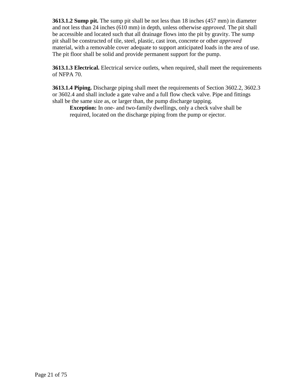**3613.1.2 Sump pit.** The sump pit shall be not less than 18 inches (457 mm) in diameter and not less than 24 inches (610 mm) in depth, unless otherwise *approved*. The pit shall be accessible and located such that all drainage flows into the pit by gravity. The sump pit shall be constructed of tile, steel, plastic, cast iron, concrete or other *approved*  material, with a removable cover adequate to support anticipated loads in the area of use. The pit floor shall be solid and provide permanent support for the pump.

**3613.1.3 Electrical.** Electrical service outlets, when required, shall meet the requirements of NFPA 70.

**3613.1.4 Piping.** Discharge piping shall meet the requirements of Section 3602.2, 3602.3 or 3602.4 and shall include a gate valve and a full flow check valve. Pipe and fittings shall be the same size as, or larger than, the pump discharge tapping.

**Exception:** In one- and two-family dwellings, only a check valve shall be required, located on the discharge piping from the pump or ejector.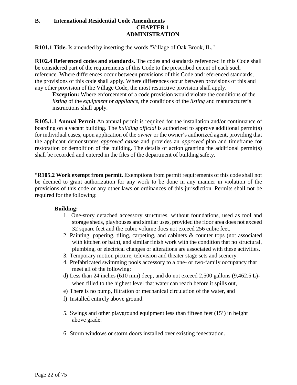#### **B. International Residential Code Amendments CHAPTER 1 ADMINISTRATION**

**R101.1 Title.** Is amended by inserting the words "Village of Oak Brook, IL."

**R102.4 Referenced codes and standards**. The codes and standards referenced in this Code shall be considered part of the requirements of this Code to the prescribed extent of each such reference. Where differences occur between provisions of this Code and referenced standards, the provisions of this code shall apply. Where differences occur between provisions of this and any other provision of the Village Code, the most restrictive provision shall apply.

**Exception:** Where enforcement of a code provision would violate the conditions of the *listing* of the *equipment* or *appliance*, the conditions of the *listing* and manufacturer's instructions shall apply.

**R105.1.1 Annual Permit** An annual permit is required for the installation and/or continuance of boarding on a vacant building. The *building official* is authorized to approve additional permit(s) for individual cases, upon application of the *owner* or the owner's authorized agent, providing that the applicant demonstrates *approved cause* and provides an *approved* plan and timeframe for restoration or demolition of the building. The details of action granting the additional permit(s) shall be recorded and entered in the files of the department of building safety.

"**R105.2 Work exempt from permit.** Exemptions from permit requirements of this code shall not be deemed to grant authorization for any work to be done in any manner in violation of the provisions of this code or any other laws or ordinances of this jurisdiction. Permits shall not be required for the following:

#### **Building:**

- 1. One-story detached accessory structures, without foundations, used as tool and storage sheds, playhouses and similar uses, provided the floor area does not exceed 32 square feet and the cubic volume does not exceed 256 cubic feet.
- 2. Painting, papering, tiling, carpeting, and cabinets & counter tops (not associated with kitchen or bath), and similar finish work with the condition that no structural, plumbing, or electrical changes or alterations are associated with these activities.
- 3. Temporary motion picture, television and theater stage sets and scenery.
- 4. Prefabricated swimming pools accessory to a one- or two-family occupancy that meet all of the following:
- d) Less than 24 inches (610 mm) deep, and do not exceed 2,500 gallons (9,462.5 L) when filled to the highest level that water can reach before it spills out,
- e) There is no pump, filtration or mechanical circulation of the water, and
- f) Installed entirely above ground.
- 5. Swings and other playground equipment less than fifteen feet (15') in height above grade.
- 6. Storm windows or storm doors installed over existing fenestration.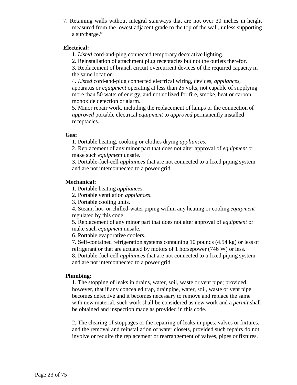7. Retaining walls without integral stairways that are not over 30 inches in height measured from the lowest adjacent grade to the top of the wall, unless supporting a surcharge."

#### **Electrical:**

1. *Listed* cord-and-plug connected temporary decorative lighting.

2. Reinstallation of attachment plug receptacles but not the outlets therefor.

3. Replacement of branch circuit overcurrent devices of the required capacity in the same location.

4. *Listed* cord-and-plug connected electrical wiring, devices, *appliances,*  apparatus or *equipment* operating at less than 25 volts, not capable of supplying more than 50 watts of energy, and not utilized for fire, smoke, heat or carbon monoxide detection or alarm.

5. Minor repair work, including the replacement of lamps or the connection of *approved* portable electrical *equipment* to *approved* permanently installed receptacles.

#### **Gas:**

1. Portable heating, cooking or clothes drying *appliances*.

2. Replacement of any minor part that does not alter approval of *equipment* or make such *equipment* unsafe.

3. Portable-fuel-cell *appliances* that are not connected to a fixed piping system and are not interconnected to a power grid.

#### **Mechanical:**

1. Portable heating *appliances*.

2. Portable ventilation *appliances*.

3. Portable cooling units.

*4.* Steam, hot- or chilled-water piping within any heating or cooling *equipment* regulated by this code.

5. Replacement of any minor part that does not alter approval of *equipment* or make such *equipment* unsafe.

6. Portable evaporative coolers.

7. Self-contained refrigeration systems containing 10 pounds (4.54 kg) or less of refrigerant or that are actuated by motors of 1 horsepower (746 W) or less.

8. Portable-fuel-cell *appliances* that are not connected to a fixed piping system and are not interconnected to a power grid.

#### **Plumbing:**

1. The stopping of leaks in drains, water, soil, waste or vent pipe; provided, however, that if any concealed trap, drainpipe, water, soil, waste or vent pipe becomes defective and it becomes necessary to remove and replace the same with new material, such work shall be considered as new work and a *permit* shall be obtained and inspection made as provided in this code.

2. The clearing of stoppages or the repairing of leaks in pipes, valves or fixtures, and the removal and reinstallation of water closets, provided such repairs do not involve or require the replacement or rearrangement of valves, pipes or fixtures.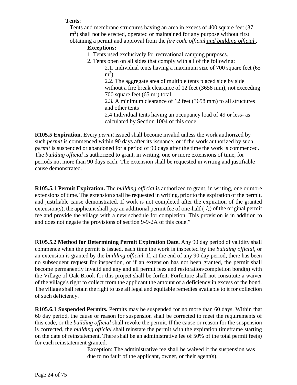#### **Tents**:

Tents and membrane structures having an area in excess of 400 square feet (37 m<sup>2</sup>) shall not be erected, operated or maintained for any purpose without first obtaining a permit and approval from the *fire code official and building official* .

#### **Exceptions:**

- 1. Tents used exclusively for recreational camping purposes.
- 2. Tents open on all sides that comply with all of the following:

2.1. Individual tents having a maximum size of 700 square feet (65  $m<sup>2</sup>$ ).

2.2. The aggregate area of multiple tents placed side by side without a fire break clearance of 12 feet (3658 mm), not exceeding 700 square feet  $(65 \text{ m}^2)$  total.

2.3. A minimum clearance of 12 feet (3658 mm) to all structures and other tents

2.4 Individual tents having an occupancy load of 49 or less- as calculated by Section 1004 of this code.

**R105.5 Expiration.** Every *permit* issued shall become invalid unless the work authorized by such *permit* is commenced within 90 days after its issuance, or if the work authorized by such *permit* is suspended or abandoned for a period of 90 days after the time the work is commenced. The *building official* is authorized to grant, in writing, one or more extensions of time, for periods not more than 90 days each. The extension shall be requested in writing and justifiable cause demonstrated.

**R105.5.1 Permit Expiration.** The *building official* is authorized to grant, in writing, one or more extensions of time. The extension shall be requested in writing, prior to the expiration of the permit, and justifiable cause demonstrated. If work is not completed after the expiration of the granted extension(s), the applicant shall pay an additional permit fee of one-half  $(1/2)$  of the original permit fee and provide the village with a new schedule for completion. This provision is in addition to and does not negate the provisions of section [9-9-2A o](http://sterling.webiness.com/codebook/?ft=3&find=9-9-2A)f this code."

**R105.5.2 Method for Determining Permit Expiration Date.** Any 90 day period of validity shall commence when the permit is issued, each time the work is inspected by the *building official*, or an extension is granted by the *building official*. If, at the end of any 90 day period, there has been no subsequent request for inspection, or if an extension has not been granted, the permit shall become permanently invalid and any and all permit fees and restoration/completion bond(s) with the Village of Oak Brook for this project shall be forfeit. Forfeiture shall not constitute a waiver of the village's right to collect from the applicant the amount of a deficiency in excess of the bond. The village shall retain the right to use all legal and equitable remedies available to it for collection of such deficiency.

**R105.6.1 Suspended Permits.** Permits may be suspended for no more than 60 days. Within that 60 day period, the cause or reason for suspension shall be corrected to meet the requirements of this code, or the *building official* shall revoke the permit. If the cause or reason for the suspension is corrected, the *building official* shall reinstate the permit with the expiration timeframe starting on the date of reinstatement. There shall be an administrative fee of 50% of the total permit fee(s) for each reinstatement granted.

> Exception: The administrative fee shall be waived if the suspension was due to no fault of the applicant, owner, or their agent(s).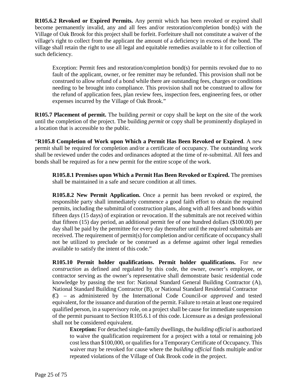**R105.6.2 Revoked or Expired Permits.** Any permit which has been revoked or expired shall become permanently invalid, any and all fees and/or restoration/completion bond(s) with the Village of Oak Brook for this project shall be forfeit. Forfeiture shall not constitute a waiver of the village's right to collect from the applicant the amount of a deficiency in excess of the bond. The village shall retain the right to use all legal and equitable remedies available to it for collection of such deficiency.

Exception: Permit fees and restoration/completion bond(s) for permits revoked due to no fault of the applicant, owner, or fee remitter may be refunded. This provision shall not be construed to allow refund of a bond while there are outstanding fees, charges or conditions needing to be brought into compliance. This provision shall not be construed to allow for the refund of application fees, plan review fees, inspection fees, engineering fees, or other expenses incurred by the Village of Oak Brook."

**R105.7 Placement of permit.** The building *permit* or copy shall be kept on the site of the work until the completion of the project. The building *permit* or copy shall be prominently displayed in a location that is accessible to the public.

"**R105.8 Completion of Work upon Which a Permit Has Been Revoked or Expired**. A new permit shall be required for completion and/or a certificate of occupancy. The outstanding work shall be reviewed under the codes and ordinances adopted at the time of re-submittal. All fees and bonds shall be required as for a new permit for the entire scope of the work.

**R105.8.1 Premises upon Which a Permit Has Been Revoked or Expired.** The premises shall be maintained in a safe and secure condition at all times.

**R105.8.2 New Permit Application.** Once a permit has been revoked or expired, the responsible party shall immediately commence a good faith effort to obtain the required permits, including the submittal of construction plans, along with all fees and bonds within fifteen days (15 days) of expiration or revocation. If the submittals are not received within that fifteen (15) day period, an additional permit fee of one hundred dollars (\$100.00) per day shall be paid by the permittee for every day thereafter until the required submittals are received. The requirement of permit(s) for completion and/or certificate of occupancy shall not be utilized to preclude or be construed as a defense against other legal remedies available to satisfy the intent of this code."

**R105.10 Permit holder qualifications. Permit holder qualifications.** For *new construction* as defined and regulated by this code, the owner, owner's employee, or contractor serving as the owner's representative shall demonstrate basic residential code knowledge by passing the test for: National Standard General Building Contractor (A), National Standard Building Contractor (B), or National Standard Residential Contractor (C) – as administered by the International Code Council-or *approved* and tested equivalent, for the issuance and duration of the permit. Failure to retain at least one required qualified person, in a supervisory role, on a project shall be cause for immediate suspension of the permit pursuant to Section R105.6.1 of this code. Licensure as a design professional shall not be considered equivalent.

**Exception:** For detached single-family dwellings, the *building official* is authorized to waive the qualification requirement for a project with a total or remaining job cost less than \$100,000, or qualifies for a Temporary Certificate of Occupancy. This waiver may be revoked for cause where the *building official* finds multiple and/or repeated violations of the Village of Oak Brook code in the project.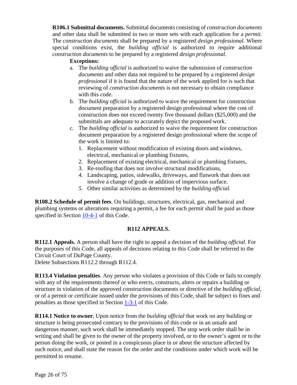**R106.1 Submittal documents.** Submittal documents consisting of *construction documents*  and other data shall be submitted in two or more sets with each application for a *permit.*  The *construction documents* shall be prepared by a registered *design professional.* Where special conditions exist, the *building official* is authorized to require additional *construction documents* to be prepared by a registered *design professional*.

#### **Exceptions:**

- a. The *building official* is authorized to waive the submission of *construction documents* and other data not required to be prepared by a registered *design professional* if it is found that the nature of the work applied for is such that reviewing of *construction documents* is not necessary to obtain compliance with this code.
- b. The *building official* is authorized to waive the requirement for construction document preparation by a registered design professional where the cost of construction does not exceed twenty five thousand dollars (\$25,000) and the submittals are adequate to accurately depict the proposed work.
- c. The *building official* is authorized to waive the requirement for construction document preparation by a registered design professional where the scope of the work is limited to:
	- 1. Replacement without modification of existing doors and windows, electrical, mechanical or plumbing fixtures,
	- 2. Replacement of existing electrical, mechanical or plumbing fixtures,
	- 3. Re-roofing that does not involve structural modifications,
	- 4. Landscaping, patios, sidewalks, driveways, and flatwork that does not involve a change of grade or addition of impervious surface.
	- *5.* Other similar activities as determined by the *building official.*

**R108.2 Schedule of permit fees**. On buildings, structures, electrical, gas, mechanical and plumbing systems or alterations requiring a permit, a fee for each permit shall be paid as those specified in Section [10-4-1](http://www.sterlingcodifiers.com/codebook/getBookData.php?ft=3&find=10-4-1) of this Code.

#### **R112 APPEALS.**

**R112.1 Appeals.** A person shall have the right to appeal a decision of the *building official*. For the purposes of this Code, all appeals of decisions relating to this Code shall be referred to the Circuit Court of DuPage County.

Delete Subsections R112.2 through R112.4.

**R113.4 Violation penalties**. Any person who violates a provision of this Code or fails to comply with any of the requirements thereof or who erects, constructs, alters or repairs a building or structure in violation of the approved construction documents or directive of the *building official*, or of a permit or certificate issued under the provisions of this Code, shall be subject to fines and penalties as those specified in Section [1-3-1](http://www.sterlingcodifiers.com/codebook/getBookData.php?ft=3&find=1-3-1) of this Code.

**R114.1 Notice to owner.** Upon notice from the *building official* that work on any building or structure is being prosecuted contrary to the provisions of this code or in an unsafe and dangerous manner, such work shall be immediately stopped. The stop work order shall be in writing and shall be given to the owner of the property involved, or to the owner's agent or to the person doing the work, or posted in a conspicuous place in or about the structure affected by such notice, and shall state the reason for the order and the conditions under which work will be permitted to resume.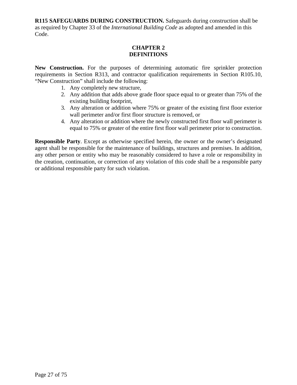**R115 SAFEGUARDS DURING CONSTRUCTION.** Safeguards during construction shall be as required by Chapter 33 of the *International Building Code* as adopted and amended in this Code.

#### **CHAPTER 2 DEFINITIONS**

**New Construction.** For the purposes of determining automatic fire sprinkler protection requirements in Section R313, and contractor qualification requirements in Section R105.10, "New Construction" shall include the following:

- 1. Any completely new structure,
- 2. Any addition that adds above grade floor space equal to or greater than 75% of the existing building footprint,
- 3. Any alteration or addition where 75% or greater of the existing first floor exterior wall perimeter and/or first floor structure is removed, or
- 4. Any alteration or addition where the newly constructed first floor wall perimeter is equal to 75% or greater of the entire first floor wall perimeter prior to construction.

**Responsible Party**. Except as otherwise specified herein, the owner or the owner's designated agent shall be responsible for the maintenance of buildings, structures and premises. In addition, any other person or entity who may be reasonably considered to have a role or responsibility in the creation, continuation, or correction of any violation of this code shall be a responsible party or additional responsible party for such violation.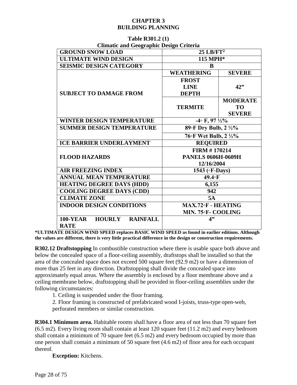#### **CHAPTER 3 BUILDING PLANNING**

| <b>Climatic and Geographic Design Criteria</b> |                                 |                 |  |
|------------------------------------------------|---------------------------------|-----------------|--|
| <b>GROUND SNOW LOAD</b>                        | $25$ LB/FT <sup>2</sup>         |                 |  |
| <b>ULTIMATE WIND DESIGN</b>                    | 115 MPH*                        |                 |  |
| <b>SEISMIC DESIGN CATEGORY</b>                 | R                               |                 |  |
|                                                | <b>WEATHERING</b>               | <b>SEVERE</b>   |  |
|                                                | <b>FROST</b>                    |                 |  |
|                                                | <b>LINE</b>                     | 42"             |  |
| <b>SUBJECT TO DAMAGE FROM</b>                  | <b>DEPTH</b>                    |                 |  |
|                                                |                                 | <b>MODERATE</b> |  |
|                                                | <b>TERMITE</b>                  | <b>TO</b>       |  |
|                                                |                                 | <b>SEVERE</b>   |  |
| <b>WINTER DESIGN TEMPERATURE</b>               | $-4$ F, 97 $\frac{1}{2}\%$      |                 |  |
| <b>SUMMER DESIGN TEMPERATURE</b>               | 89°F Dry Bulb, 2 1/2%           |                 |  |
|                                                | 76°F Wet Bulb, 2 ½%             |                 |  |
| <b>ICE BARRIER UNDERLAYMENT</b>                | <b>REQUIRED</b>                 |                 |  |
|                                                | <b>FIRM #170214</b>             |                 |  |
| <b>FLOOD HAZARDS</b>                           | <b>PANELS 0606H-0609H</b>       |                 |  |
|                                                | 12/16/2004                      |                 |  |
| <b>AIR FREEZING INDEX</b>                      | 1543 ( <b>F-Days</b> )          |                 |  |
| <b>ANNUAL MEAN TEMPERATURE</b>                 | 49.4 <sub>o</sub> F             |                 |  |
| <b>HEATING DEGREE DAYS (HDD)</b>               | 6,155                           |                 |  |
| <b>COOLING DEGREE DAYS (CDD)</b>               | 942                             |                 |  |
| <b>CLIMATE ZONE</b>                            | <b>5A</b>                       |                 |  |
| <b>INDOOR DESIGN CONDITIONS</b>                | MAX.72 <sup>o</sup> F - HEATING |                 |  |
|                                                | MIN. 75°F- COOLING              |                 |  |
| <b>HOURLY RAINFALL</b><br><b>100-YEAR</b>      | 4"                              |                 |  |
| <b>RATE</b>                                    |                                 |                 |  |

#### **Table R301.2 (1) Climatic and Geographic Design Criteria**

**\*ULTIMATE DESIGN WIND SPEED replaces BASIC WIND SPEED as found in earlier editions. Although the values are different, there is very little practical difference in the design or construction requirements.**

**R302.12 Draftstopping** In combustible construction where there is usable space both above and below the concealed space of a floor-ceiling assembly, draftstops shall be installed so that the area of the concealed space does not exceed 500 square feet (92.9 m2) or have a dimension of more than 25 feet in any direction. Draftstopping shall divide the concealed space into approximately equal areas. Where the assembly is enclosed by a floor membrane above and a ceiling membrane below, draftstopping shall be provided in floor-ceiling assemblies under the following circumstances:

1. Ceiling is suspended under the floor framing.

2. Floor framing is constructed of prefabricated wood I-joists, truss-type open-web, perforated members or similar construction.

**R304.1 Minimum area.** Habitable rooms shall have a floor area of not less than 70 square feet (6.5 m2). Every living room shall contain at least 120 square feet (11.2 m2) and every bedroom shall contain a minimum of 70 square feet (6.5 m2) and every bedroom occupied by more than one person shall contain a minimum of 50 square feet (4.6 m2) of floor area for each occupant thereof.

**Exception:** Kitchens.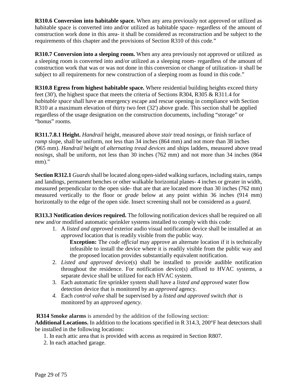**R310.6 Conversion into habitable space.** When any area previously not approved or utilized as habitable space is converted into and/or utilized as habitable space- regardless of the amount of construction work done in this area- it shall be considered as reconstruction and be subject to the requirements of this chapter and the provisions of Section R310 of this code."

**R310.7 Conversion into a sleeping room.** When any area previously not approved or utilized as a sleeping room is converted into and/or utilized as a sleeping room- regardless of the amount of construction work that was or was not done in this conversion or change of utilization- it shall be subject to all requirements for new construction of a sleeping room as found in this code."

**R310.8 Egress from highest habitable space.** Where residential building heights exceed thirty feet (30'), the highest space that meets the criteria of Sections R304, R305 & R311.4 for *habitable space* shall have an emergency escape and rescue opening in compliance with Section R310 at a maximum elevation of thirty two feet (32') above grade. This section shall be applied regardless of the usage designation on the construction documents, including "storage" or "bonus" rooms.

**R311.7.8.1 Height.** *Handrail* height, measured above *stair* tread *nosings*, or finish surface of *ramp* slope, shall be uniform, not less than 34 inches (864 mm) and not more than 38 inches (965 mm). *Handrail* height of *alternating tread devices* and ships ladders, measured above tread *nosings*, shall be uniform, not less than 30 inches (762 mm) and not more than 34 inches (864 mm)."

**Section R312.1** *Guards* shall be located along open-sided walking surfaces, including stairs, ramps and landings, permanent benches or other walkable horizontal planes- 4 inches or greater in width, measured perpendicular to the open side- that are that are located more than 30 inches (762 mm) measured vertically to the floor or *grade* below at any point within 36 inches (914 mm) horizontally to the edge of the open side. Insect screening shall not be considered as a *guard*.

**R313.3 Notification devices required.** The following notification devices shall be required on all new and/or modified automatic sprinkler systems installed to comply with this code:

1. A *listed and approved* exterior audio visual notification device shall be installed at an *approved* location that is readily visible from the public way.

**Exception:** The *code official* may approve an alternate location if it is technically infeasible to install the device where it is readily visible from the public way and the proposed location provides substantially equivalent notification.

- 2. *Listed and approved* device(s) shall be installed to provide audible notification throughout the residence. For notification device(s) affixed to HVAC systems, a separate device shall be utilized for each HVAC system.
- 3. Each automatic fire sprinkler system shall have a *listed and approved* water flow detection device that is monitored by an *approved* agency.
- *4.* Each *control valve* shall be supervised by a *listed and approved* switch *that is* monitored by an *approved agency.*

**R314 Smoke alarms** is amended by the addition of the following section:

**Additional Locations.** In addition to the locations specified in R 314.3, 200°F heat detectors shall be installed in the following locations:

- 1. In each attic area that is provided with access as required in Section R807.
- 2. In each attached garage.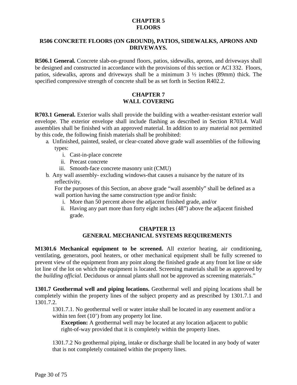#### **CHAPTER 5 FLOORS**

#### **R506 CONCRETE FLOORS (ON GROUND), PATIOS, SIDEWALKS, APRONS AND DRIVEWAYS.**

**R506.1 General.** Concrete slab-on-ground floors, patios, sidewalks, aprons, and driveways shall be designed and constructed in accordance with the provisions of this section or ACI 332. Floors, patios, sidewalks, aprons and driveways shall be a minimum 3 ½ inches (89mm) thick. The specified compressive strength of concrete shall be as set forth in Section R402.2.

#### **CHAPTER 7 WALL COVERING**

**R703.1 General.** Exterior walls shall provide the building with a weather-resistant exterior wall envelope. The exterior envelope shall include flashing as described in Section R703.4. Wall assemblies shall be finished with an approved material. In addition to any material not permitted by this code, the following finish materials shall be prohibited:

- a. Unfinished, painted, sealed, or clear-coated above grade wall assemblies of the following types:
	- i. Cast-in-place concrete
	- ii. Precast concrete
	- iii. Smooth-face concrete masonry unit (CMU)
- b. Any wall assembly- excluding windows-that causes a nuisance by the nature of its reflectivity.

For the purposes of this Section, an above grade "wall assembly" shall be defined as a wall portion having the same construction type and/or finish:

- i. More than 50 percent above the adjacent finished grade, and/or
- ii. Having any part more than forty eight inches (48") above the adjacent finished grade.

#### **CHAPTER 13 GENERAL MECHANICAL SYSTEMS REQUIREMENTS**

**M1301.6 Mechanical equipment to be screened.** All exterior heating, air conditioning, ventilating, generators, pool heaters, or other mechanical equipment shall be fully screened to prevent view of the equipment from any point along the finished grade at any front lot line or side lot line of the lot on which the equipment is located. Screening materials shall be as approved by the *building official*. Deciduous or annual plants shall not be approved as screening materials."

**1301.7 Geothermal well and piping locations.** Geothermal well and piping locations shall be completely within the property lines of the subject property and as prescribed by 1301.7.1 and 1301.7.2.

1301.7.1. No geothermal well or water intake shall be located in any easement and/or a within ten feet (10') from any property lot line.

**Exception:** A geothermal well may be located at any location adjacent to public right-of-way provided that it is completely within the property lines.

1301.7.2 No geothermal piping, intake or discharge shall be located in any body of water that is not completely contained within the property lines.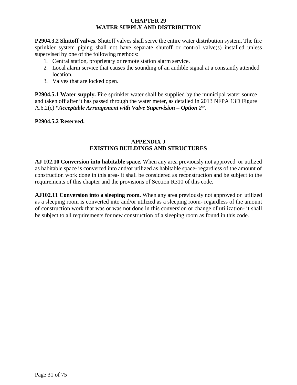#### **CHAPTER 29 WATER SUPPLY AND DISTRIBUTION**

**P2904.3.2 Shutoff valves.** Shutoff valves shall serve the entire water distribution system. The fire sprinkler system piping shall not have separate shutoff or control valve(s) installed unless supervised by one of the following methods:

- 1. Central station, proprietary or remote station alarm service.
- 2. Local alarm service that causes the sounding of an audible signal at a constantly attended location.
- 3. Valves that are locked open.

**P2904.5.1 Water supply.** Fire sprinkler water shall be supplied by the municipal water source and taken off after it has passed through the water meter, as detailed in 2013 NFPA 13D Figure A.6.2(c) *"Acceptable Arrangement with Valve Supervision – Option 2".*

#### **P2904.5.2 Reserved.**

#### **APPENDIX J EXISTING BUILDINGS AND STRUCTURES**

**AJ 102.10 Conversion into habitable space.** When any area previously not approved or utilized as habitable space is converted into and/or utilized as habitable space- regardless of the amount of construction work done in this area- it shall be considered as reconstruction and be subject to the requirements of this chapter and the provisions of Section R310 of this code.

**AJ102.11 Conversion into a sleeping room.** When any area previously not approved or utilized as a sleeping room is converted into and/or utilized as a sleeping room- regardless of the amount of construction work that was or was not done in this conversion or change of utilization- it shall be subject to all requirements for new construction of a sleeping room as found in this code.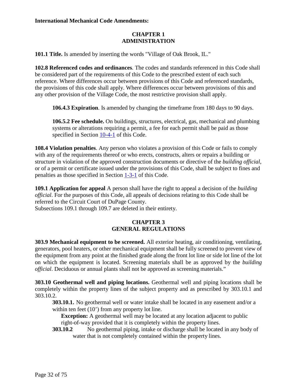#### **CHAPTER 1 ADMINISTRATION**

**101.1 Title.** Is amended by inserting the words "Village of Oak Brook, IL."

**102.8 Referenced codes and ordinances**. The codes and standards referenced in this Code shall be considered part of the requirements of this Code to the prescribed extent of each such reference. Where differences occur between provisions of this Code and referenced standards, the provisions of this code shall apply. Where differences occur between provisions of this and any other provision of the Village Code, the most restrictive provision shall apply.

**106.4.3 Expiration**. Is amended by changing the timeframe from 180 days to 90 days.

**106.5.2 Fee schedule.** On buildings, structures, electrical, gas, mechanical and plumbing systems or alterations requiring a permit, a fee for each permit shall be paid as those specified in Section [10-4-1](http://www.sterlingcodifiers.com/codebook/getBookData.php?ft=3&find=10-4-1) of this Code.

**108.4 Violation penalties**. Any person who violates a provision of this Code or fails to comply with any of the requirements thereof or who erects, constructs, alters or repairs a building or structure in violation of the approved construction documents or directive of the *building official*, or of a permit or certificate issued under the provisions of this Code, shall be subject to fines and penalties as those specified in Section [1-3-1](http://www.sterlingcodifiers.com/codebook/getBookData.php?ft=3&find=1-3-1) of this Code.

**109.1 Application for appeal** A person shall have the right to appeal a decision of the *building official*. For the purposes of this Code, all appeals of decisions relating to this Code shall be referred to the Circuit Court of DuPage County.

Subsections 109.1 through 109.7 are deleted in their entirety.

#### **CHAPTER 3 GENERAL REGULATIONS**

**303.9 Mechanical equipment to be screened.** All exterior heating, air conditioning, ventilating, generators, pool heaters, or other mechanical equipment shall be fully screened to prevent view of the equipment from any point at the finished grade along the front lot line or side lot line of the lot on which the equipment is located. Screening materials shall be as approved by the *building official*. Deciduous or annual plants shall not be approved as screening materials."

**303.10 Geothermal well and piping locations.** Geothermal well and piping locations shall be completely within the property lines of the subject property and as prescribed by 303.10.1 and 303.10.2.

**303.10.1.** No geothermal well or water intake shall be located in any easement and/or a within ten feet (10') from any property lot line.

**Exception:** A geothermal well may be located at any location adjacent to public right-of-way provided that it is completely within the property lines.

**303.10.2** No geothermal piping, intake or discharge shall be located in any body of water that is not completely contained within the property lines.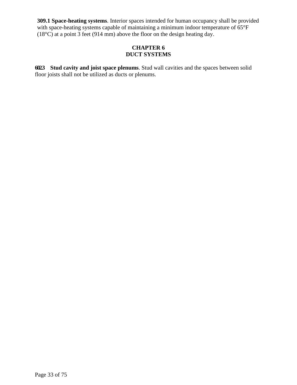**309.1 Space-heating systems**. Interior spaces intended for human occupancy shall be provided with space-heating systems capable of maintaining a minimum indoor temperature of 65°F (18°C) at a point 3 feet (914 mm) above the floor on the design heating day.

#### **CHAPTER 6 DUCT SYSTEMS**

**602.3 Stud cavity and joist space plenums**. Stud wall cavities and the spaces between solid floor joists shall not be utilized as ducts or plenums.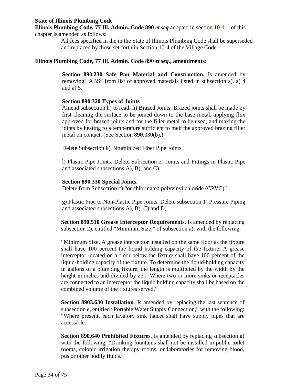#### **State of Illinois Plumbing Code**

**Illinois Plumbing Code, 77 Ill. Admin. Code 890** *et seq* adopted in section [10-1-1](http://www.sterlingcodifiers.com/codebook/getBookData.php?ft=3&find=10-1-1) of this chapter is amended as follows:

> All fees specified in the in the State of Illinois Plumbing Code shall be superseded and replaced by those set forth in Section 10-4 of the Village Code.

#### **Illinois Plumbing Code, 77 Ill. Admin. Code 890** *et seq.***, amendments:**

**Section 890.230 Safe Pan Material and Construction.** Is amended by removing "ABS" from list of approved materials listed in subsection a), a) 4 and a) 5.

#### **Section 890.320 Types of Joints**

Amend subsection h) to read: h) Brazed Joints. Brazed joints shall be made by first cleaning the surface to be joined down to the base metal, applying flux approved for brazed joints and for the filler metal to be used, and making the joints by heating to a temperature sufficient to melt the approved brazing filler metal on contact. (See Section 890.330(b).)

Delete Subsection k) Bituminized Fiber Pipe Joints.

l) Plastic Pipe Joints. Delete Subsection 2) Joints and Fittings in Plastic Pipe and associated subsections A), B), and C).

#### **Section 890.330 Special Joints.**

Delete from Subsection c) "or chlorinated polyvinyl chloride (CPVC)"

g) Plastic Pipe to Non-Plastic Pipe Joints. Delete subsection 1) Pressure Piping and associated subsections A), B), C) and D).

**Section 890.510 Grease Interceptor Requirements.** Is amended by replacing subsection 2), entitled "Minimum Size," of subsection a), with the following:

"Minimum Size. A grease interceptor installed on the same floor as the fixture shall have 100 percent the liquid holding capacity of the fixture. A grease interceptor located on a floor below the fixture shall have 100 percent of the liquid-holding capacity of the fixture. To determine the liquid-holding capacity in gallons of a plumbing fixture, the length is multiplied by the width by the height in inches and divided by 231. Where two or more sinks or receptacles are connected to an interceptor the liquid holding capacity shall be based on the combined volume of the fixtures served."

**Section 8903.630 Installation**. Is amended by replacing the last sentence of subsection e, entitled "Portable Water Supply Connection," with the following: "Where present, each lavatory sink faucet shall have supply pipes that are accessible."

**Section 890.640 Prohibited Fixtures**. Is amended by replacing subsection a) with the following: "Drinking fountains shall not be installed in public toilet rooms, colonic irrigation therapy rooms, or laboratories for removing blood, pus or other bodily fluids.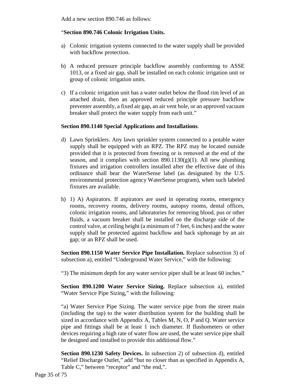Add a new section 890.746 as follows:

#### "**Section 890.746 Colonic Irrigation Units.**

- a) Colonic irrigation systems connected to the water supply shall be provided with backflow protection.
- b) A reduced pressure principle backflow assembly conforming to ASSE 1013, or a fixed air gap, shall be installed on each colonic irrigation unit or group of colonic irrigation units.
- c) If a colonic irrigation unit has a water outlet below the flood rim level of an attached drain, then an approved reduced principle pressure backflow preventer assembly, a fixed air gap, an air vent hole, or an approved vacuum breaker shall protect the water supply from each unit."

#### **Section 890.1140 Special Applications and Installations**.

- d) Lawn Sprinklers. Any lawn sprinkler system connected to a potable water supply shall be equipped with an RPZ. The RPZ may be located outside provided that it is protected from freezing or is removed at the end of the season, and it complies with section  $890.1130(g)(1)$ . All new plumbing fixtures and irrigation controllers installed after the effective date of this ordinance shall bear the WaterSense label (as designated by the U.S. environmental protection agency WaterSense program), when such labeled fixtures are available.
- h) 1) A) Aspirators. If aspirators are used in operating rooms, emergency rooms, recovery rooms, delivery rooms, autopsy rooms, dental offices, colonic irrigation rooms, and laboratories for removing blood, pus or other fluids, a vacuum breaker shall be installed on the discharge side of the control valve, at ceiling height (a minimum of 7 feet, 6 inches) and the water supply shall be protected against backflow and back siphonage by an air gap; or an RPZ shall be used.

**Section 890.1150 Water Service Pipe Installation.** Replace subsection 3) of subsection a), entitled "Underground Water Service," with the following:

"3) The minimum depth for any water service piper shall be at least 60 inches."

**Section 890.1200 Water Service Sizing.** Replace subsection a), entitled "Water Service Pipe Sizing," with the following:

"a) Water Service Pipe Sizing. The water service pipe from the street main (including the tap) to the water distribution system for the building shall be sized in accordance with Appendix A, Tables M, N, O, P and Q. Water service pipe and fittings shall be at least 1 inch diameter. If flushometers or other devices requiring a high rate of water flow are used, the water service pipe shall be designed and installed to provide this additional flow."

**Section 890.1230 Safety Devices.** In subsection 2) of subsection d), entitled "Relief Discharge Outlet," add "but no closer than as specified in Appendix A, Table C," between "receptor" and "the end,".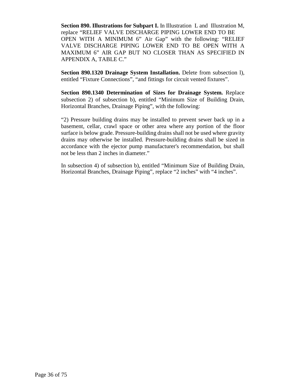**Section 890. Illustrations for Subpart I.** In Illustration L and Illustration M, replace "RELIEF VALVE DISCHARGE PIPING LOWER END TO BE OPEN WITH A MINIMUM 6" Air Gap" with the following: "RELIEF VALVE DISCHARGE PIPING LOWER END TO BE OPEN WITH A MAXIMUM 6" AIR GAP BUT NO CLOSER THAN AS SPECIFIED IN APPENDIX A, TABLE C."

**Section 890.1320 Drainage System Installation.** Delete from subsection l), entitled "Fixture Connections", "and fittings for circuit vented fixtures".

**Section 890.1340 Determination of Sizes for Drainage System.** Replace subsection 2) of subsection b), entitled "Minimum Size of Building Drain, Horizontal Branches, Drainage Piping", with the following:

"2) Pressure building drains may be installed to prevent sewer back up in a basement, cellar, crawl space or other area where any portion of the floor surface is below grade. Pressure-building drains shall not be used where gravity drains may otherwise be installed. Pressure-building drains shall be sized in accordance with the ejector pump manufacturer's recommendation, but shall not be less than 2 inches in diameter."

In subsection 4) of subsection b), entitled "Minimum Size of Building Drain, Horizontal Branches, Drainage Piping", replace "2 inches" with "4 inches".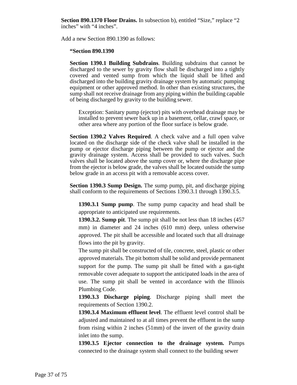**Section 890.1370 Floor Drains.** In subsection b), entitled "Size," replace "2 inches" with "4 inches".

Add a new Section 890.1390 as follows:

#### **"Section 890.1390**

**Section 1390.1 Building Subdrains**. Building subdrains that cannot be discharged to the sewer by gravity flow shall be discharged into a tightly covered and vented sump from which the liquid shall be lifted and discharged into the building gravity drainage system by automatic pumping equipment or other approved method. In other than existing structures, the sump shall not receive drainage from any piping within the building capable of being discharged by gravity to the building sewer.

Exception: Sanitary pump (ejector) pits with overhead drainage may be installed to prevent sewer back up in a basement, cellar, crawl space, or other area where any portion of the floor surface is below grade.

**Section 1390.2 Valves Required**. A check valve and a full open valve located on the discharge side of the check valve shall be installed in the pump or ejector discharge piping between the pump or ejector and the gravity drainage system. Access shall be provided to such valves. Such valves shall be located above the sump cover or, where the discharge pipe from the ejector is below grade, the valves shall be located outside the sump below grade in an access pit with a removable access cover.

**Section 1390.3 Sump Design.** The sump pump, pit, and discharge piping shall conform to the requirements of Sections 1390.3.1 through 1390.3.5.

**1390.3.1 Sump pump**. The sump pump capacity and head shall be appropriate to anticipated use requirements.

**1390.3.2. Sump pit**. The sump pit shall be not less than 18 inches (457 mm) in diameter and 24 inches (610 mm) deep, unless otherwise approved. The pit shall be accessible and located such that all drainage flows into the pit by gravity.

The sump pit shall be constructed of tile, concrete, steel, plastic or other approved materials. The pit bottom shall be solid and provide permanent support for the pump. The sump pit shall be fitted with a gas-tight removable cover adequate to support the anticipated loads in the area of use. The sump pit shall be vented in accordance with the Illinois Plumbing Code.

**1390.3.3 Discharge piping**. Discharge piping shall meet the requirements of Section 1390.2.

**1390.3.4 Maximum effluent level**. The effluent level control shall be adjusted and maintained to at all times prevent the effluent in the sump from rising within 2 inches (51mm) of the invert of the gravity drain inlet into the sump.

**1390.3.5 Ejector connection to the drainage system.** Pumps connected to the drainage system shall connect to the building sewer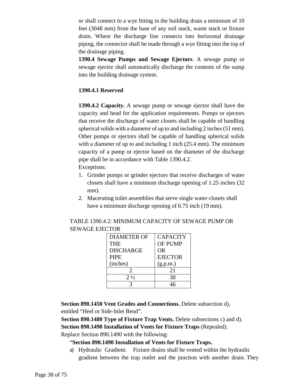or shall connect to a wye fitting in the building drain a minimum of 10 feet (3048 mm) from the base of any soil stack, waste stack or fixture drain. Where the discharge line connects into horizontal drainage piping, the connector shall be made through a wye fitting into the top of the drainage piping.

**1390.4 Sewage Pumps and Sewage Ejectors**. A sewage pump or sewage ejector shall automatically discharge the contents of the sump into the building drainage system.

#### **1390.4.1 Reserved**

**1390.4.2 Capacity.** A sewage pump or sewage ejector shall have the capacity and head for the application requirements. Pumps or ejectors that receive the discharge of water closets shall be capable of handling spherical solids with a diameter of up to and including 2 inches (51 mm). Other pumps or ejectors shall be capable of handling spherical solids with a diameter of up to and including 1 inch (25.4 mm). The minimum capacity of a pump or ejector based on the diameter of the discharge pipe shall be in accordance with Table 1390.4.2. Exceptions:

- 1. Grinder pumps or grinder ejectors that receive discharges of water closets shall have a minimum discharge opening of 1.25 inches (32 mm).
- 2. Macerating toilet assemblies that serve single water closets shall have a minimum discharge opening of 0.75 inch (19 mm).

# TABLE 1390.4.2: MINIMUM CAPACITY OF SEWAGE PUMP OR SEWAGE EJECTOR

| <b>DIAMETER OF</b> | <b>CAPACITY</b> |
|--------------------|-----------------|
| THE                | <b>OF PUMP</b>  |
| <b>DISCHARGE</b>   | <b>OR</b>       |
| <b>PIPE</b>        | <b>EJECTOR</b>  |
| (inches)           | (g.p.m.)        |
| 2                  | 21              |
| $2\frac{1}{2}$     | 30              |
|                    |                 |

**Section 890.1450 Vent Grades and Connections.** Delete subsection d), entitled "Heel or Side-Inlet Bend".

**Section 890.1480 Type of Fixture Trap Vents.** Delete subsections c) and d). **Section 890.1490 Installation of Vents for Fixture Traps** (Repealed).

Replace Section 890.1490 with the following:

# "**Section 890.1490 Installation of Vents for Fixture Traps.**

a) Hydraulic Gradient. Fixture drains shall be vented within the hydraulic gradient between the trap outlet and the junction with another drain. They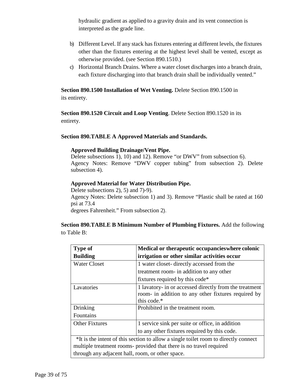hydraulic gradient as applied to a gravity drain and its vent connection is interpreted as the grade line.

- b) Different Level. If any stack has fixtures entering at different levels, the fixtures other than the fixtures entering at the highest level shall be vented, except as otherwise provided. (see Section 890.1510.)
- c) Horizontal Branch Drains. Where a water closet discharges into a branch drain, each fixture discharging into that branch drain shall be individually vented."

**Section 890.1500 Installation of Wet Venting.** Delete Section 890.1500 in its entirety.

**Section 890.1520 Circuit and Loop Venting**. Delete Section 890.1520 in its entirety.

# **Section 890.TABLE A Approved Materials and Standards.**

#### **Approved Building Drainage/Vent Pipe.**

Delete subsections 1), 10) and 12). Remove "or DWV" from subsection 6). Agency Notes: Remove "DWV copper tubing" from subsection 2). Delete subsection 4).

#### **Approved Material for Water Distribution Pipe.**

Delete subsections 2), 5) and 7)-9). Agency Notes: Delete subsection 1) and 3). Remove "Plastic shall be rated at 160 psi at 73.4 degrees Fahrenheit." From subsection 2).

**Section 890.TABLE B Minimum Number of Plumbing Fixtures.** Add the following to Table B:

| <b>Type of</b>                                                                      | Medical or therapeutic occupancies where colonic       |
|-------------------------------------------------------------------------------------|--------------------------------------------------------|
| <b>Building</b>                                                                     | irrigation or other similar activities occur           |
| <b>Water Closet</b>                                                                 | 1 water closet- directly accessed from the             |
|                                                                                     | treatment room- in addition to any other               |
|                                                                                     | fixtures required by this code*                        |
| Lavatories                                                                          | 1 lavatory- in or accessed directly from the treatment |
|                                                                                     | room- in addition to any other fixtures required by    |
|                                                                                     | this code.*                                            |
| Drinking                                                                            | Prohibited in the treatment room.                      |
| Fountains                                                                           |                                                        |
| <b>Other Fixtures</b>                                                               | 1 service sink per suite or office, in addition        |
|                                                                                     | to any other fixtures required by this code.           |
| *It is the intent of this section to allow a single toilet room to directly connect |                                                        |
| multiple treatment rooms- provided that there is no travel required                 |                                                        |
| through any adjacent hall, room, or other space.                                    |                                                        |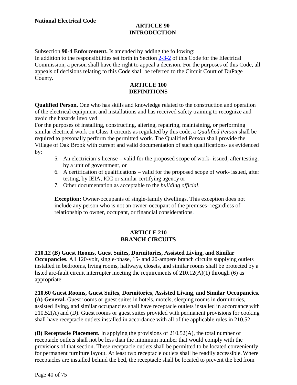# **ARTICLE 90 INTRODUCTION**

Subsection **90-4 Enforcement.** Is amended by adding the following:

In addition to the responsibilities set forth in Section [2-3-2](http://www.sterlingcodifiers.com/codebook/?ft=3&find=2-3-2) of this Code for the Electrical Commission, a person shall have the right to appeal a decision. For the purposes of this Code, all appeals of decisions relating to this Code shall be referred to the Circuit Court of DuPage County.

# **ARTICLE 100 DEFINITIONS**

**Qualified Person.** One who has skills and knowledge related to the construction and operation of the electrical equipment and installations and has received safety training to recognize and avoid the hazards involved.

For the purposes of installing, constructing, altering, repairing, maintaining, or performing similar electrical work on Class 1 circuits as regulated by this code, a *Qualified Person* shall be required to personally perform the permitted work. The Qualified *Person* shall provide the Village of Oak Brook with current and valid documentation of such qualifications- as evidenced by:

- 5. An electrician's license valid for the proposed scope of work- issued, after testing, by a unit of government, or
- 6. A certification of qualifications valid for the proposed scope of work- issued, after testing, by IEIA, ICC or similar certifying agency or
- 7. Other documentation as acceptable to the *building official*.

**Exception:** Owner-occupants of single-family dwellings. This exception does not include any person who is not an owner-occupant of the premises- regardless of relationship to owner, occupant, or financial considerations.

#### **ARTICLE 210 BRANCH CIRCUITS**

**210.12 (B) Guest Rooms, Guest Suites, Dormitories, Assisted Living, and Similar Occupancies.** All 120-volt, single-phase, 15- and 20-ampere branch circuits supplying outlets installed in bedrooms, living rooms, hallways, closets, and similar rooms shall be protected by a listed arc-fault circuit interrupter meeting the requirements of 210.12(A)(1) through (6) as appropriate.

**210.60 Guest Rooms, Guest Suites, Dormitories, Assisted Living, and Similar Occupancies. (A) General.** Guest rooms or guest suites in hotels, motels, sleeping rooms in dormitories, assisted living, and similar occupancies shall have receptacle outlets installed in accordance with 210.52(A) and (D). Guest rooms or guest suites provided with permanent provisions for cooking shall have receptacle outlets installed in accordance with all of the applicable rules in 210.52.

**(B) Receptacle Placement.** In applying the provisions of 210.52(A), the total number of receptacle outlets shall not be less than the minimum number that would comply with the provisions of that section. These receptacle outlets shall be permitted to be located conveniently for permanent furniture layout. At least two receptacle outlets shall be readily accessible. Where receptacles are installed behind the bed, the receptacle shall be located to prevent the bed from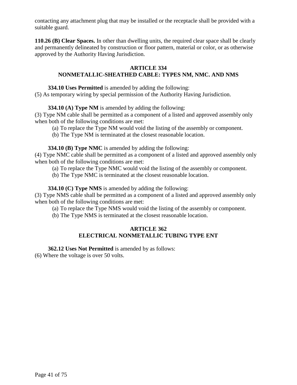contacting any attachment plug that may be installed or the receptacle shall be provided with a suitable guard.

**110.26 (B) Clear Spaces.** In other than dwelling units, the required clear space shall be clearly and permanently delineated by construction or floor pattern, material or color, or as otherwise approved by the Authority Having Jurisdiction.

# **ARTICLE 334**

# **NONMETALLIC-SHEATHED CABLE: TYPES NM, NMC. AND NMS**

**334.10 Uses Permitted** is amended by adding the following:

(5) As temporary wiring by special permission of the Authority Having Jurisdiction.

**334.10 (A) Type NM** is amended by adding the following:

(3) Type NM cable shall be permitted as a component of a listed and approved assembly only when both of the following conditions are met:

(a) To replace the Type NM would void the listing of the assembly or component.

(b) The Type NM is terminated at the closest reasonable location.

**334.10 (B) Type NMC** is amended by adding the following:

(4) Type NMC cable shall be permitted as a component of a listed and approved assembly only when both of the following conditions are met:

(a) To replace the Type NMC would void the listing of the assembly or component.

(b) The Type NMC is terminated at the closest reasonable location.

**334.10 (C) Type NMS** is amended by adding the following:

(3) Type NMS cable shall be permitted as a component of a listed and approved assembly only when both of the following conditions are met:

(a) To replace the Type NMS would void the listing of the assembly or component.

(b) The Type NMS is terminated at the closest reasonable location.

# **ARTICLE 362 ELECTRICAL NONMETALLIC TUBING TYPE ENT**

**362.12 Uses Not Permitted** is amended by as follows:

(6) Where the voltage is over 50 volts.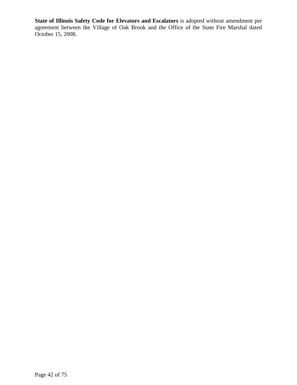**State of Illinois Safety Code for Elevators and Escalators** is adopted without amendment per agreement between the Village of Oak Brook and the Office of the State Fire Marshal dated October 15, 2008.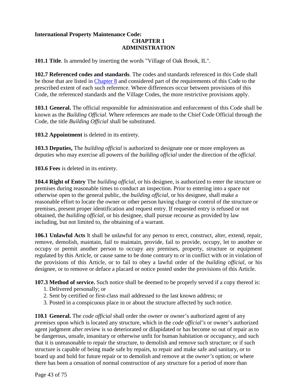#### **International Property Maintenance Code: CHAPTER 1 ADMINISTRATION**

**101.1 Title**. Is amended by inserting the words "Village of Oak Brook, IL".

**102.7 Referenced codes and standards**. The codes and standards referenced in this Code shall be those that are listed in [Chapter 8](http://www.sterlingcodifiers.com/codebook/getBookData.php?ft=2&find=8) and considered part of the requirements of this Code to the prescribed extent of each such reference. Where differences occur between provisions of this Code, the referenced standards and the Village Codes, the more restrictive provisions apply.

**103.1 General.** The official responsible for administration and enforcement of this Code shall be known as the *Building Official*. Where references are made to the Chief Code Official through the Code, the title *Building Official* shall be substituted.

**103.2 Appointment** is deleted in its entirety.

**103.3 Deputies,** The *building official* is authorized to designate one or more employees as deputies who may exercise all powers of the *building official* under the direction of the *official*.

**103.6 Fees** is deleted in its entirety.

**104.4 Right of Entry** The *building official*, or his designee, is authorized to enter the structure or premises during reasonable times to conduct an inspection. Prior to entering into a space not otherwise open to the general public, the *building official*, or his designee, shall make a reasonable effort to locate the owner or other person having charge or control of the structure or premises, present proper identification and request entry. If requested entry is refused or not obtained, the *building official*, or his designee, shall pursue recourse as provided by law including, but not limited to, the obtaining of a warrant.

**106.1 Unlawful Acts** It shall be unlawful for any person to erect, construct, alter, extend, repair, remove, demolish, maintain, fail to maintain, provide, fail to provide, occupy, let to another or occupy or permit another person to occupy any premises, property, structure or equipment regulated by this Article, or cause same to be done contrary to or in conflict with or in violation of the provisions of this Article, or to fail to obey a lawful order of the *building official*, or his designee, or to remove or deface a placard or notice posted under the provisions of this Article.

**107.3 Method of service.** Such notice shall be deemed to be properly served if a copy thereof is:

- 1. Delivered personally; or
- 2. Sent by certified or first-class mail addressed to the last known address; or
- 3. Posted in a conspicuous place in or about the structure affected by such notice.

**110.1 General.** The *code official* shall order the *owner* or owner's authorized agent of any *premises* upon which is located any structure, which in the *code official's* or owner's authorized agent judgment after review is so deteriorated or dilapidated or has become so out of repair asto be dangerous, unsafe, insanitary or otherwise unfit for human habitation or occupancy, and such that it is unreasonable to repair the structure, to demolish and remove such structure; or if such structure is capable of being made safe by repairs, to repair and make safe and sanitary, or to board up and hold for future repair or to demolish and remove at the *owner's* option; or where there has been a cessation of normal construction of any structure for a period of more than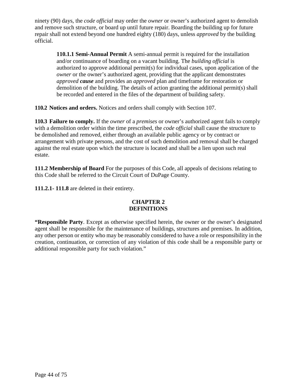ninety (90) days, the *code official* may order the *owner* or owner's authorized agent to demolish and remove such structure, or board up until future repair. Boarding the building up for future repair shall not extend beyond one hundred eighty (180) days, unless *approved* by the building official.

**110.1.1 Semi-Annual Permit** A semi-annual permit is required for the installation and/or continuance of boarding on a vacant building. The *building official* is authorized to approve additional permit(s) for individual cases, upon application of the *owner* or the owner's authorized agent, providing that the applicant demonstrates *approved cause* and provides an *approved* plan and timeframe for restoration or demolition of the building. The details of action granting the additional permit(s) shall be recorded and entered in the files of the department of building safety.

**110.2 Notices and orders.** Notices and orders shall comply with Section 107.

**110.3 Failure to comply.** If the *owner* of a *premises* or owner's authorized agent fails to comply with a demolition order within the time prescribed, the *code official* shall cause the structure to be demolished and removed, either through an available public agency or by contract or arrangement with private persons, and the cost of such demolition and removal shall be charged against the real estate upon which the structure is located and shall be a lien upon such real estate.

**111.2 Membership of Board** For the purposes of this Code, all appeals of decisions relating to this Code shall be referred to the Circuit Court of DuPage County.

**111.2.1- 111.8** are deleted in their entirety.

# **CHAPTER 2 DEFINITIONS**

**"Responsible Party**. Except as otherwise specified herein, the owner or the owner's designated agent shall be responsible for the maintenance of buildings, structures and premises. In addition, any other person or entity who may be reasonably considered to have a role or responsibility in the creation, continuation, or correction of any violation of this code shall be a responsible party or additional responsible party for such violation."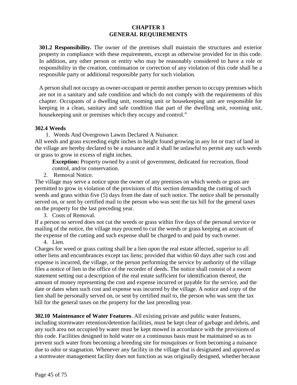#### **CHAPTER 3 GENERAL REQUIREMENTS**

**301.2 Responsibility.** The owner of the premises shall maintain the structures and exterior property in compliance with these requirements, except as otherwise provided for in this code. In addition, any other person or entity who may be reasonably considered to have a role or responsibility in the creation, continuation or correction of any violation of this code shall be a responsible party or additional responsible party for such violation.

A person shall not occupy as owner-occupant or permit another person to occupy premises which are not in a sanitary and safe condition and which do not comply with the requirements of this chapter. Occupants of a dwelling unit, rooming unit or housekeeping unit are responsible for keeping in a clean, sanitary and safe condition that part of the dwelling unit, rooming unit, housekeeping unit or premises which they occupy and control."

#### **302.4 Weeds**

1. Weeds And Overgrown Lawns Declared A Nuisance.

All weeds and grass exceeding eight inches in height found growing in any lot or tract of land in the village are hereby declared to be a nuisance and it shall be unlawful to permit any such weeds or grass to grow in excess of eight inches.

**Exception:** Property owned by a unit of government, dedicated for recreation, flood control, and/or conservation.

2. Removal Notice.

The village may serve a notice upon the owner of any premises on which weeds or grass are permitted to grow in violation of the provisions of this section demanding the cutting of such weeds and grass within five (5) days from the date of such notice. The notice shall be personally served on, or sent by certified mail to the person who was sent the tax bill for the general taxes on the property for the last preceding year.

3. Costs of Removal.

If a person so served does not cut the weeds or grass within five days of the personal service or mailing of the notice, the village may proceed to cut the weeds or grass keeping an account of the expense of the cutting and such expense shall be charged to and paid by such owner.

4. Lien.

Charges for weed or grass cutting shall be a lien upon the real estate affected, superior to all other liens and encumbrances except tax liens; provided that within 60 days after such cost and expense is incurred, the village, or the person performing the service by authority of the village files a notice of lien in the office of the recorder of deeds. The notice shall consist of a sworn statement setting out a description of the real estate sufficient for identification thereof, the amount of money representing the cost and expense incurred or payable for the service, and the date or dates when such cost and expense was incurred by the village. A notice and copy of the lien shall be personally served on, or sent by certified mail to, the person who was sent the tax bill for the general taxes on the property for the last preceding year.

**302.10 Maintenance of Water Features**. All existing private and public water features, including stormwater retention/detention facilities, must be kept clear of garbage and debris, and any such area not occupied by water must be kept mowed in accordance with the provisions of this code. Facilities designed to hold water on a continuous basis must be maintained so as to prevent such water from becoming a breeding site for mosquitoes or from becoming a nuisance due to odor or stagnation. Whenever any facility in the village that is designated and approved as a stormwater management facility does not function as was originally designed, whether because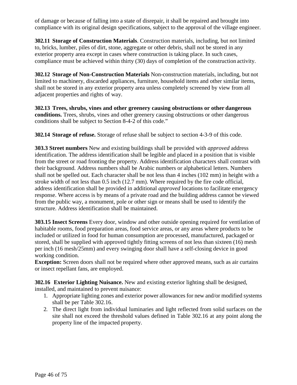of damage or because of falling into a state of disrepair, it shall be repaired and brought into compliance with its original design specifications, subject to the approval of the village engineer.

**302.11 Storage of Construction Materials**. Construction materials, including, but not limited to, bricks, lumber, piles of dirt, stone, aggregate or other debris, shall not be stored in any exterior property area except in cases where construction is taking place. In such cases, compliance must be achieved within thirty (30) days of completion of the construction activity.

**302.12 Storage of Non-Construction Materials** Non-construction materials, including, but not limited to machinery, discarded appliances, furniture, household items and other similar items, shall not be stored in any exterior property area unless completely screened by view from all adjacent properties and rights of way.

**302.13 Trees, shrubs, vines and other greenery causing obstructions or other dangerous conditions.** Trees, shrubs, vines and other greenery causing obstructions or other dangerous conditions shall be subject to Section 8-4-2 of this code."

**302.14 Storage of refuse.** Storage of refuse shall be subject to section 4-3-9 of this code.

**303.3 Street numbers** New and existing buildings shall be provided with *approved* address identification. The address identification shall be legible and placed in a position that is visible from the street or road fronting the property. Address identification characters shall contrast with their background. Address numbers shall be Arabic numbers or alphabetical letters. Numbers shall not be spelled out. Each character shall be not less than 4 inches (102 mm) in height with a stroke width of not less than 0.5 inch (12.7 mm). Where required by the fire code official, address identification shall be provided in additional *approved* locations to facilitate emergency response. Where access is by means of a private road and the building address cannot be viewed from the public way, a monument, pole or other sign or means shall be used to identify the structure. Address identification shall be maintained.

**303.15 Insect Screens** Every door, window and other outside opening required for ventilation of habitable rooms, food preparation areas, food service areas, or any areas where products to be included or utilized in food for human consumption are processed, manufactured, packaged or stored, shall be supplied with approved tightly fitting screens of not less than sixteen (16) mesh per inch (16 mesh/25mm) and every swinging door shall have a self-closing device in good working condition.

**Exception:** Screen doors shall not be required where other approved means, such as air curtains or insect repellant fans, are employed.

**302.16 Exterior Lighting Nuisance.** New and existing exterior lighting shall be designed, installed, and maintained to prevent nuisance:

- 1. Appropriate lighting zones and exterior power allowances for new and/or modified systems shall be per Table 302.16.
- 2. The direct light from individual luminaries and light reflected from solid surfaces on the site shall not exceed the threshold values defined in Table 302.16 at any point along the property line of the impacted property.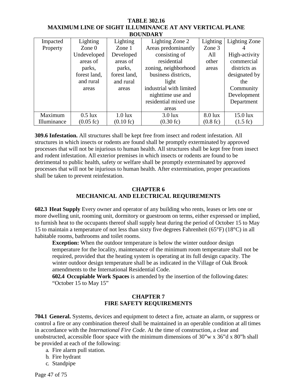| <b>BOUNDARY</b> |              |                     |                         |                    |                    |
|-----------------|--------------|---------------------|-------------------------|--------------------|--------------------|
| Impacted        | Lighting     | Lighting            | Lighting Zone 2         | Lighting           | Lighting Zone      |
| Property        | Zone $0$     | Zone $1$            | Areas predominantly     | Zone 3             |                    |
|                 | Undeveloped  | Developed           | consisting of           | All                | High-activity      |
|                 | areas of     | areas of            | residential             | other              | commercial         |
|                 | parks,       | parks,              | zoning, neighborhood    | areas              | districts as       |
|                 | forest land, | forest land,        | business districts,     |                    | designated by      |
|                 | and rural    | and rural           | light                   |                    | the                |
|                 | areas        | areas               | industrial with limited |                    | Community          |
|                 |              |                     | nighttime use and       |                    | Development        |
|                 |              |                     | residential mixed use   |                    | Department         |
|                 |              |                     | areas                   |                    |                    |
| Maximum         | $0.5$ lux    | $1.0$ lux           | $3.0$ lux               | $8.0$ lux          | $15.0$ lux         |
| Illuminance     | (0.05 f)     | $(0.10 \text{ fc})$ | $(0.30 \text{ fc})$     | $(0.8 \text{ fc})$ | $(1.5 \text{ fc})$ |

**TABLE 302.16 MAXIMUM LINE OF SIGHT ILLUMINANCE AT ANY VERTICAL PLANE** 

**309.6 Infestation.** All structures shall be kept free from insect and rodent infestation. All structures in which insects or rodents are found shall be promptly exterminated by approved processes that will not be injurious to human health. All structures shall be kept free from insect and rodent infestation. All exterior premises in which insects or rodents are found to be detrimental to public health, safety or welfare shall be promptly exterminated by approved processes that will not be injurious to human health. After extermination, proper precautions shall be taken to prevent reinfestation.

# **CHAPTER 6 MECHANICAL AND ELECTRICAL REQUIREMENTS**

**602.3 Heat Supply** Every owner and operator of any building who rents, leases or lets one or more dwelling unit, rooming unit, dormitory or guestroom on terms, either expressed or implied, to furnish heat to the occupants thereof shall supply heat during the period of October 15 to May 15 to maintain a temperature of not less than sixty five degrees Fahrenheit (65°F) (18°C) in all habitable rooms, bathrooms and toilet rooms.

**Exception:** When the outdoor temperature is below the winter outdoor design temperature for the locality, maintenance of the minimum room temperature shall not be required, provided that the heating system is operating at its full design capacity. The winter outdoor design temperature shall be as indicated in the Village of Oak Brook amendments to the International Residential Code.

**602.4 Occupiable Work Spaces** is amended by the insertion of the following dates: "October 15 to May 15"

# **CHAPTER 7 FIRE SAFETY REQUIREMENTS**

**704.1 General.** Systems, devices and equipment to detect a fire, actuate an alarm, or suppress or control a fire or any combination thereof shall be maintained in an operable condition at all times in accordance with the *International Fire Code*. At the time of construction, a clear and unobstructed, accessible floor space with the minimum dimensions of 30"w x 36"d x 80"h shall be provided at each of the following:

- a. Fire alarm pull station.
- b. Fire hydrant
- c. Standpipe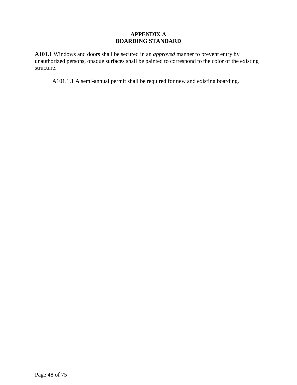# **APPENDIX A BOARDING STANDARD**

**A101.1** Windows and doors shall be secured in an *approved* manner to prevent entry by unauthorized persons, opaque surfaces shall be painted to correspond to the color of the existing structure.

A101.1.1 A semi-annual permit shall be required for new and existing boarding.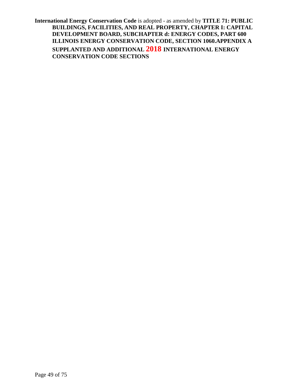**International Energy Conservation Code** is adopted - as amended by **TITLE 71: PUBLIC BUILDINGS, FACILITIES, AND REAL PROPERTY, CHAPTER I: CAPITAL DEVELOPMENT BOARD, SUBCHAPTER d: ENERGY CODES, PART 600 ILLINOIS ENERGY CONSERVATION CODE, SECTION 1060.APPENDIX A SUPPLANTED AND ADDITIONAL 2018 INTERNATIONAL ENERGY CONSERVATION CODE SECTIONS**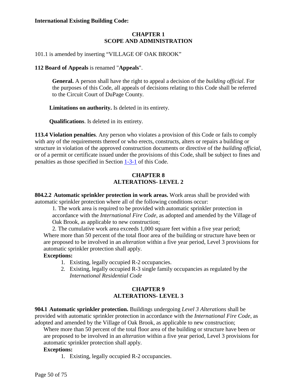#### **International Existing Building Code:**

# **CHAPTER 1 SCOPE AND ADMINISTRATION**

101.1 is amended by inserting "VILLAGE OF OAK BROOK"

#### **112 Board of Appeals** is renamed "**Appeals**".

**General.** A person shall have the right to appeal a decision of the *building official*. For the purposes of this Code, all appeals of decisions relating to this Code shall be referred to the Circuit Court of DuPage County.

**Limitations on authority.** Is deleted in its entirety.

**Qualifications**. Is deleted in its entirety.

**113.4 Violation penalties**. Any person who violates a provision of this Code or fails to comply with any of the requirements thereof or who erects, constructs, alters or repairs a building or structure in violation of the approved construction documents or directive of the *building official*, or of a permit or certificate issued under the provisions of this Code, shall be subject to fines and penalties as those specified in Section [1-3-1](http://www.sterlingcodifiers.com/codebook/getBookData.php?ft=3&find=1-3-1) of this Code.

### **CHAPTER 8 ALTERATIONS- LEVEL 2**

**804.2.2 Automatic sprinkler protection in work areas.** Work areas shall be provided with automatic sprinkler protection where all of the following conditions occur:

1. The work area is required to be provided with automatic sprinkler protection in accordance with the *International Fire Code,* as adopted and amended by the Village of Oak Brook, as applicable to new construction;

2. The cumulative work area exceeds 1,000 square feet within a five year period; Where more than 50 percent of the total floor area of the building or structure have been or are proposed to be involved in an *alteration* within a five year period, Level 3 provisions for automatic sprinkler protection shall apply.

#### **Exceptions:**

- 1. Existing, legally occupied R-2 occupancies.
- 2. Existing, legally occupied R-3 single family occupancies as regulated by the *International Residential Code*

#### **CHAPTER 9 ALTERATIONS- LEVEL 3**

**904.1 Automatic sprinkler protection.** Buildings undergoing *Level 3 Alterations* shall be provided with automatic sprinkler protection in accordance with the *International Fire Code,* as adopted and amended by the Village of Oak Brook, as applicable to new construction;

Where more than 50 percent of the total floor area of the building or structure have been or are proposed to be involved in an *alteration* within a five year period, Level 3 provisions for automatic sprinkler protection shall apply.

#### **Exceptions:**

1. Existing, legally occupied R-2 occupancies.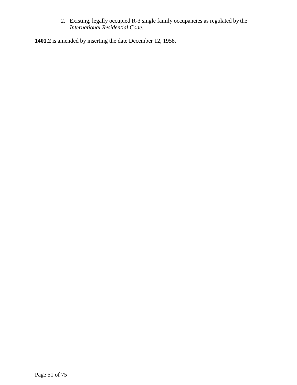2. Existing, legally occupied R-3 single family occupancies as regulated by the *International Residential Code*.

**1401.2** is amended by inserting the date December 12, 1958.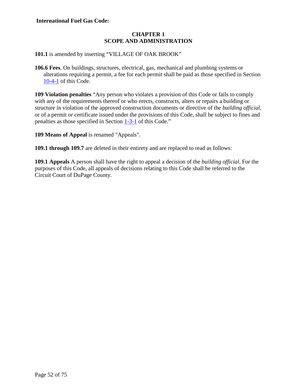#### **International Fuel Gas Code:**

# **CHAPTER 1 SCOPE AND ADMINISTRATION**

**101.1** is amended by inserting "VILLAGE OF OAK BROOK"

**106.6 Fees**. On buildings, structures, electrical, gas, mechanical and plumbing systems or alterations requiring a permit, a fee for each permit shall be paid as those specified in Section [10-4-1](http://www.sterlingcodifiers.com/codebook/getBookData.php?ft=3&find=10-4-1) of this Code.

**109 Violation penalties** "Any person who violates a provision of this Code or fails to comply with any of the requirements thereof or who erects, constructs, alters or repairs a building or structure in violation of the approved construction documents or directive of the *building official*, or of a permit or certificate issued under the provisions of this Code, shall be subject to fines and penalties as those specified in Section [1-3-1](http://www.sterlingcodifiers.com/codebook/getBookData.php?ft=3&find=1-3-1) of this Code."

**109 Means of Appeal** is renamed "Appeals".

**109.1 through 109.7** are deleted in their entirety and are replaced to read as follows:

**109.1 Appeals** A person shall have the right to appeal a decision of the *building official*. For the purposes of this Code, all appeals of decisions relating to this Code shall be referred to the Circuit Court of DuPage County.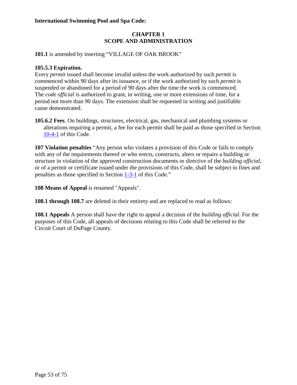## **International Swimming Pool and Spa Code:**

# **CHAPTER 1 SCOPE AND ADMINISTRATION**

**101.1** is amended by inserting "VILLAGE OF OAK BROOK"

#### **105.5.3 Expiration.**

Every *permit* issued shall become invalid unless the work authorized by such *permit* is commenced within 90 days after its issuance, or if the work authorized by such *permit* is suspended or abandoned for a period of 90 days after the time the work is commenced. The *code official* is authorized to grant, in writing, one or more extensions of time, for a period not more than 90 days. The extension shall be requested in writing and justifiable cause demonstrated.

**105.6.2 Fees**. On buildings, structures, electrical, gas, mechanical and plumbing systems or alterations requiring a permit, a fee for each permit shall be paid as those specified in Section [10-4-1](http://www.sterlingcodifiers.com/codebook/getBookData.php?ft=3&find=10-4-1) of this Code.

**107 Violation penalties** "Any person who violates a provision of this Code or fails to comply with any of the requirements thereof or who erects, constructs, alters or repairs a building or structure in violation of the approved construction documents or directive of the *building official*, or of a permit or certificate issued under the provisions of this Code, shall be subject to fines and penalties as those specified in Section [1-3-1](http://www.sterlingcodifiers.com/codebook/getBookData.php?ft=3&find=1-3-1) of this Code."

**108 Means of Appeal** is renamed "Appeals".

**108.1 through 108.7** are deleted in their entirety and are replaced to read as follows:

**108.1 Appeals** A person shall have the right to appeal a decision of the *building official*. For the purposes of this Code, all appeals of decisions relating to this Code shall be referred to the Circuit Court of DuPage County.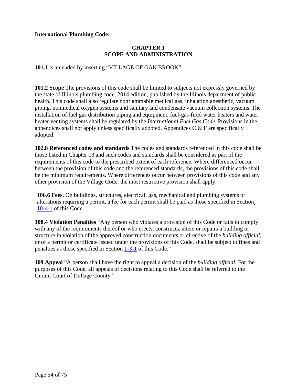#### **International Plumbing Code:**

# **CHAPTER 1 SCOPE AND ADMINISTRATION**

**101.1** is amended by inserting "VILLAGE OF OAK BROOK"

**101.2 Scope** The provisions of this code shall be limited to subjects not expressly governed by the state of Illinois plumbing code, 2014 edition, published by the Illinois department of public health. This code shall also regulate nonflammable medical gas, inhalation anesthetic, vacuum piping, nonmedical oxygen systems and sanitary and condensate vacuum collection systems. The installation of fuel gas distribution piping and equipment, fuel-gas-fired water heaters and water heater venting systems shall be regulated by the *International Fuel Gas Code*. Provisions in the appendices shall not apply unless specifically adopted. Appendices  $C \& F$  are specifically adopted.

**102.8 Referenced codes and standards** The codes and standards referenced in this code shall be those listed in Chapter 13 and such codes and standards shall be considered as part of the requirements of this code to the prescribed extent of each reference. Where differenced occur between the provision of this code and the referenced standards, the provisions of this code shall be the minimum requirements. Where differences occur between provisions of this code and any other provision of the Village Code, the most restrictive provision shall apply.

**106.6 Fees.** On buildings, structures, electrical, gas, mechanical and plumbing systems or alterations requiring a permit, a fee for each permit shall be paid as those specified in Section [10-4-1](http://www.sterlingcodifiers.com/codebook/getBookData.php?ft=3&find=10-4-1) of this Code.

**108.4 Violation Penalties** "Any person who violates a provision of this Code or fails to comply with any of the requirements thereof or who erects, constructs, alters or repairs a building or structure in violation of the approved construction documents or directive of the *building official*, or of a permit or certificate issued under the provisions of this Code, shall be subject to fines and penalties as those specified in Section [1-3-1](http://www.sterlingcodifiers.com/codebook/getBookData.php?ft=3&find=1-3-1) of this Code."

**109 Appeal** "A person shall have the right to appeal a decision of the *building official*. For the purposes of this Code, all appeals of decisions relating to this Code shall be referred to the Circuit Court of DuPage County."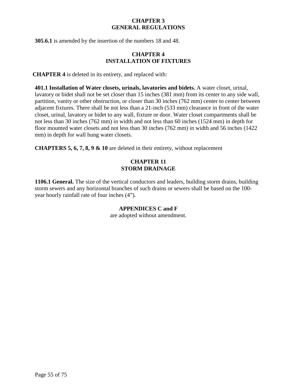# **CHAPTER 3 GENERAL REGULATIONS**

**305.6.1** is amended by the insertion of the numbers 18 and 48.

# **CHAPTER 4 INSTALLATION OF FIXTURES**

**CHAPTER 4** is deleted in its entirety, and replaced with:

**401.1 Installation of Water closets, urinals, lavatories and bidets.** A water closet, urinal, lavatory or bidet shall not be set closer than 15 inches (381 mm) from its center to any side wall, partition, vanity or other obstruction, or closer than 30 inches (762 mm) center to center between adjacent fixtures. There shall be not less than a 21-inch (533 mm) clearance in front of the water closet, urinal, lavatory or bidet to any wall, fixture or door. Water closet compartments shall be not less than 30 inches (762 mm) in width and not less than 60 inches (1524 mm) in depth for floor mounted water closets and not less than 30 inches (762 mm) in width and 56 inches (1422 mm) in depth for wall hung water closets.

**CHAPTERS 5, 6, 7, 8, 9 & 10** are deleted in their entirety, without replacement

# **CHAPTER 11 STORM DRAINAGE**

**1106.1 General.** The size of the vertical conductors and leaders, building storm drains, building storm sewers and any horizontal branches of such drains or sewers shall be based on the 100 year hourly rainfall rate of four inches (4").

# **APPENDICES C and F**

are adopted without amendment.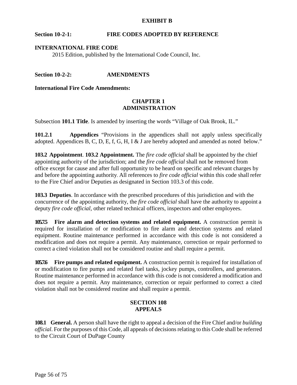#### **EXHIBIT B**

# **Section 10-2-1: FIRE CODES ADOPTED BY REFERENCE**

#### **INTERNATIONAL FIRE CODE**

2015 Edition, published by the International Code Council, Inc.

#### **Section 10-2-2: AMENDMENTS**

**International Fire Code Amendments:**

#### **CHAPTER 1 ADMINISTRATION**

Subsection **101.1 Title**. Is amended by inserting the words "Village of Oak Brook, IL."

**101.2.1 Appendices** "Provisions in the appendices shall not apply unless specifically adopted. Appendices B, C, D, E, f, G, H, I & J are hereby adopted and amended as noted below."

**103.2 Appointment**. **103.2 Appointment.** The *fire code official* shall be appointed by the chief appointing authority of the jurisdiction; and the *fire code official* shall not be removed from office except for cause and after full opportunity to be heard on specific and relevant charges by and before the appointing authority. All references to *fire code official* within this code shall refer to the Fire Chief and/or Deputies as designated in Section 103.3 of this code.

**103.3 Deputies**. In accordance with the prescribed procedures of this jurisdiction and with the concurrence of the appointing authority, the *fire code official* shall have the authority to appoint a deputy *fire code official*, other related technical officers, inspectors and other employees.

**105.75** Fire alarm and detection systems and related equipment. A construction permit is required for installation of or modification to fire alarm and detection systems and related equipment. Routine maintenance performed in accordance with this code is not considered a modification and does not require a permit. Any maintenance, correction or repair performed to correct a cited violation shall not be considered routine and shall require a permit.

**105.7.6 Fire pumps and related equipment.** A construction permit is required for installation of or modification to fire pumps and related fuel tanks, jockey pumps, controllers, and generators. Routine maintenance performed in accordance with this code is not considered a modification and does not require a permit. Any maintenance, correction or repair performed to correct a cited violation shall not be considered routine and shall require a permit.

#### **SECTION 108 APPEALS**

**108.1 General.** A person shall have the right to appeal a decision of the Fire Chief and/or *building official*. For the purposes of this Code, all appeals of decisions relating to this Code shall be referred to the Circuit Court of DuPage County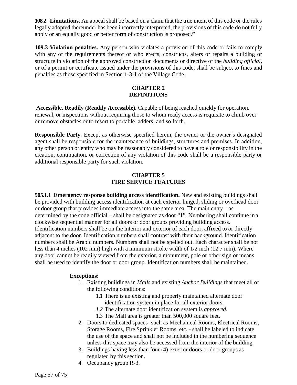**108.2 Limitations.** An appeal shall be based on a claim that the true intent of this code or the rules legally adopted thereunder has been incorrectly interpreted, the provisions of this code do not fully apply or an equally good or better form of construction is proposed.**"**

**109.3 Violation penalties.** Any person who violates a provision of this code or fails to comply with any of the requirements thereof or who erects, constructs, alters or repairs a building or structure in violation of the approved construction documents or directive of the *building official*, or of a permit or certificate issued under the provisions of this code, shall be subject to fines and penalties as those specified in Section 1-3-1 of the Village Code.

#### **CHAPTER 2 DEFINITIONS**

**Accessible, Readily (Readily Accessible).** Capable of being reached quickly for operation, renewal, or inspections without requiring those to whom ready access is requisite to climb over or remove obstacles or to resort to portable ladders, and so forth.

**Responsible Party**. Except as otherwise specified herein, the owner or the owner's designated agent shall be responsible for the maintenance of buildings, structures and premises. In addition, any other person or entity who may be reasonably considered to have a role or responsibility in the creation, continuation, or correction of any violation of this code shall be a responsible party or additional responsible party for such violation.

# **CHAPTER 5 FIRE SERVICE FEATURES**

**505.1.1 Emergency response building access identification.** New and existing buildings shall be provided with building access identification at each exterior hinged, sliding or overhead door or door group that provides immediate access into the same area. The main entry – as determined by the code official – shall be designated as door "1". Numbering shall continue in a clockwise sequential manner for all doors or door groups providing building access. Identification numbers shall be on the interior and exterior of each door, affixed to or directly adjacent to the door. Identification numbers shall contrast with their background. Identification numbers shall be Arabic numbers. Numbers shall not be spelled out. Each character shall be not less than 4 inches (102 mm) high with a minimum stroke width of 1/2 inch (12.7 mm). Where any door cannot be readily viewed from the exterior, a monument, pole or other sign or means shall be used to identify the door or door group. Identification numbers shall be maintained.

# **Exceptions:**

- 1. Existing buildings in *Malls* and existing *Anchor Buildings* that meet all of the following conditions:
	- 1.1 There is an existing and properly maintained alternate door identification system in place for all exterior doors.
	- *1.2* The alternate door identification system is *approved.*
	- 1.3 The Mall area is greater than 500,000 square feet.
- 2. Doors to dedicated spaces- such as Mechanical Rooms, Electrical Rooms, Storage Rooms, Fire Sprinkler Rooms, etc. - shall be labeled to indicate the use of the space and shall not be included in the numbering sequence unless this space may also be accessed from the interior of the building.
- 3. Buildings having less than four (4) exterior doors or door groups as regulated by this section.
- 4. Occupancy group R-3.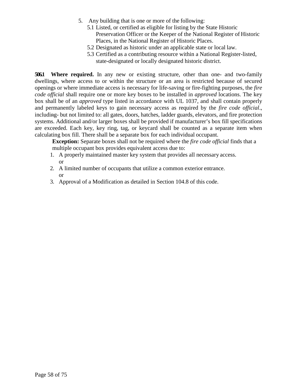- 5. Any building that is one or more of the following:
	- 5.1 Listed, or certified as eligible for listing by the State Historic Preservation Officer or the Keeper of the National Register of Historic Places, in the National Register of Historic Places.
	- 5.2 Designated as historic under an applicable state or local law.
	- 5.3 Certified as a contributing resource within a National Register-listed, state-designated or locally designated historic district.

**506.1 Where required.** In any new or existing structure, other than one- and two-family dwellings, where access to or within the structure or an area is restricted because of secured openings or where immediate access is necessary for life-saving or fire-fighting purposes, the *fire code official* shall require one or more key boxes to be installed in *approved* locations. The key box shall be of an *approved* type listed in accordance with UL 1037, and shall contain properly and permanently labeled keys to gain necessary access as required by the *fire code official*., including- but not limited to: all gates, doors, hatches, ladder guards, elevators, and fire protection systems. Additional and/or larger boxes shall be provided if manufacturer's box fill specifications are exceeded. Each key, key ring, tag, or keycard shall be counted as a separate item when calculating box fill. There shall be a separate box for each individual occupant.

**Exception:** Separate boxes shall not be required where the *fire code official* finds that a multiple occupant box provides equivalent access due to:

- 1. A properly maintained master key system that provides all necessary access. or
- 2. A limited number of occupants that utilize a common exterior entrance. or
- 3. Approval of a Modification as detailed in Section 104.8 of this code.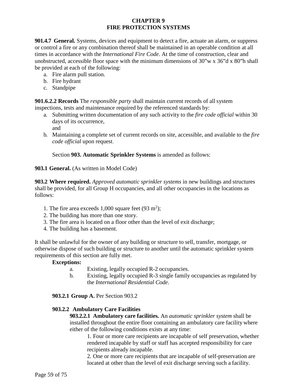# **CHAPTER 9 FIRE PROTECTION SYSTEMS**

**901.4.7 General.** Systems, devices and equipment to detect a fire, actuate an alarm, or suppress or control a fire or any combination thereof shall be maintained in an operable condition at all times in accordance with the *International Fire Code*. At the time of construction, clear and unobstructed, accessible floor space with the minimum dimensions of 30"w x 36"d x 80"h shall be provided at each of the following:

- a. Fire alarm pull station.
- b. Fire hydrant
- c. Standpipe

**901.6.2.2 Records** The *responsible party* shall maintain current records of allsystem inspections, tests and maintenance required by the referenced standards by:

- a. Submitting written documentation of any such activity to the *fire code official* within 30 days of its occurrence, and
- b. Maintaining a complete set of current records on site, accessible, and available to the *fire code official* upon request.

Section **903. Automatic Sprinkler Systems** is amended as follows:

**903.1 General.** (As written in Model Code)

**903.2 Where required.** *Approved automatic sprinkler systems* in new buildings and structures shall be provided, for all Group H occupancies, and all other occupancies in the locations as follows:

- 1. The fire area exceeds  $1,000$  square feet  $(93 \text{ m}^2)$ ;
- 2. The building has more than one story.
- 3. The fire area is located on a floor other than the level of exit discharge;
- 4. The building has a basement.

It shall be unlawful for the owner of any building or structure to sell, transfer, mortgage, or otherwise dispose of such building or structure to another until the automatic sprinkler system requirements of this section are fully met.

#### **Exceptions:**

- a. Existing, legally occupied R-2 occupancies.
- b. Existing, legally occupied R-3 single family occupancies as regulated by the *International Residential Code*.

#### **903.2.1 Group A.** Per Section 903.2

#### **903.2.2 Ambulatory Care Facilities**

**903.2.2.1 Ambulatory care facilities.** An *automatic sprinkler system* shall be installed throughout the entire floor containing an ambulatory care facility where either of the following conditions exists at any time:

1. Four or more care recipients are incapable of self preservation, whether rendered incapable by staff or staff has accepted responsibility for care recipients already incapable.

2. One or more care recipients that are incapable of self-preservation are located at other than the level of exit discharge serving such a facility.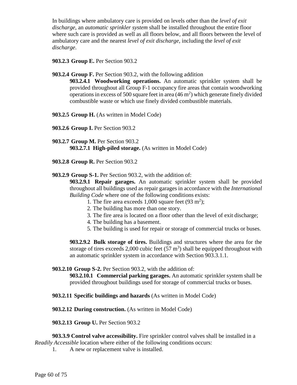In buildings where ambulatory care is provided on levels other than the *level of exit discharge*, an *automatic sprinkler system* shall be installed throughout the entire floor where such care is provided as well as all floors below, and all floors between the level of ambulatory care and the nearest *level of exit discharge*, including the *level of exit discharge*.

### **903.2.3 Group E.** Per Section 903.2

**903.2.4 Group F.** Per Section 903.2, with the following addition

**903.2.4.1 Woodworking operations.** An automatic sprinkler system shall be provided throughout all Group F-1 occupancy fire areas that contain woodworking operations in excess of 500 square feet in area  $(46 \text{ m}^2)$  which generate finely divided combustible waste or which use finely divided combustible materials.

- **903.2.5 Group H.** (As written in Model Code)
- **903.2.6 Group I.** Per Section 903.2
- **903.2.7 Group M.** Per Section 903.2 **903.2.7.1 High-piled storage.** (As written in Model Code)
- **903.2.8 Group R.** Per Section 903.2

**903.2.9 Group S-1.** Per Section 903.2, with the addition of:

**903.2.9.1 Repair garages.** An automatic sprinkler system shall be provided throughout all buildings used as repair garages in accordance with the *International Building Code* where one of the following conditions exists:

- 1. The fire area exceeds  $1,000$  square feet (93 m<sup>2</sup>);
- 2. The building has more than one story.
- 3. The fire area is located on a floor other than the level of exit discharge;
- 4. The building has a basement.
- 5. The building is used for repair or storage of commercial trucks or buses.

**903.2.9.2 Bulk storage of tires.** Buildings and structures where the area for the storage of tires exceeds 2,000 cubic feet  $(57 \text{ m}^3)$  shall be equipped throughout with an automatic sprinkler system in accordance with Section 903.3.1.1.

#### **903.2.10 Group S-2.** Per Section 903.2, with the addition of:

**903.2.10.1 Commercial parking garages.** An automatic sprinkler system shall be provided throughout buildings used for storage of commercial trucks or buses.

**903.2.11 Specific buildings and hazards** (As written in Model Code)

**903.2.12 During construction.** (As written in Model Code)

**903.2.13 Group U.** Per Section 903.2

**903.3.9 Control valve accessibility.** Fire sprinkler control valves shall be installed in a *Readily Accessible* location where either of the following conditions occurs:

1. A new or replacement valve is installed.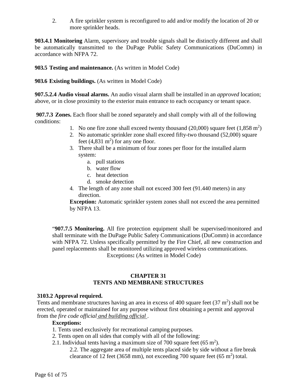2. A fire sprinkler system is reconfigured to add and/or modify the location of 20 or more sprinkler heads.

**903.4.1 Monitoring** Alarm, supervisory and trouble signals shall be distinctly different and shall be automatically transmitted to the DuPage Public Safety Communications (DuComm) in accordance with NFPA 72.

**903.5 Testing and maintenance.** (As written in Model Code)

**903.6 Existing buildings.** (As written in Model Code)

**907.5.2.4 Audio visual alarms.** An audio visual alarm shall be installed in an *approved* location; above, or in close proximity to the exterior main entrance to each occupancy or tenant space.

**907.7.3 Zones.** Each floor shall be zoned separately and shall comply with all of the following conditions:

- 1. No one fire zone shall exceed twenty thousand  $(20,000)$  square feet  $(1,858 \text{ m}^2)$
- 2. No automatic sprinkler zone shall exceed fifty-two thousand (52,000) square feet  $(4,831 \text{ m}^2)$  for any one floor.
- 3. There shall be a minimum of four zones per floor for the installed alarm system:
	- a. pull stations
	- b. water flow
	- c. heat detection
	- d. smoke detection
- 4. The length of any zone shall not exceed 300 feet (91.440 meters) in any direction.

**Exception:** Automatic sprinkler system zones shall not exceed the area permitted by NFPA 13.

"**907.7.5 Monitoring.** All fire protection equipment shall be supervised/monitored and shall terminate with the DuPage Public Safety Communications (DuComm) in accordance with NFPA 72. Unless specifically permitted by the Fire Chief, all new construction and panel replacements shall be monitored utilizing approved wireless communications.

Exceptions**:** (As written in Model Code)

# **CHAPTER 31 TENTS AND MEMBRANE STRUCTURES**

# **3103.2 Approval required.**

Tents and membrane structures having an area in excess of 400 square feet  $(37 \text{ m}^2)$  shall not be erected, operated or maintained for any purpose without first obtaining a permit and approval from the *fire code official and building official* .

# **Exceptions:**

- 1. Tents used exclusively for recreational camping purposes.
- 2. Tents open on all sides that comply with all of the following:
- 2.1. Individual tents having a maximum size of 700 square feet  $(65 \text{ m}^2)$ .

2.2. The aggregate area of multiple tents placed side by side without a fire break clearance of 12 feet (3658 mm), not exceeding 700 square feet (65 m<sup>2</sup>) total.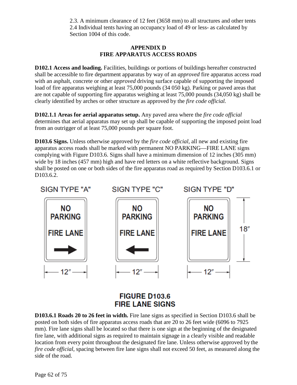2.3. A minimum clearance of 12 feet (3658 mm) to all structures and other tents 2.4 Individual tents having an occupancy load of 49 or less- as calculated by Section 1004 of this code.

# **APPENDIX D FIRE APPARATUS ACCESS ROADS**

**D102.1 Access and loading.** Facilities, buildings or portions of buildings hereafter constructed shall be accessible to fire department apparatus by way of an *approved* fire apparatus access road with an asphalt, concrete or other *approved* driving surface capable of supporting the imposed load of fire apparatus weighing at least 75,000 pounds (34 050 kg). Parking or paved areas that are not capable of supporting fire apparatus weighing at least 75,000 pounds (34,050 kg) shall be clearly identified by arches or other structure as approved by the *fire code official.*

**D102.1.1 Areas for aerial apparatus setup.** Any paved area where the *fire code official*  determines that aerial apparatus may set up shall be capable of supporting the imposed point load from an outrigger of at least 75,000 pounds per square foot.

**D103.6 Signs.** Unless otherwise approved by the *fire code official*, all new and existing fire apparatus access roads shall be marked with permanent NO PARKING—FIRE LANE signs complying with Figure D103.6. Signs shall have a minimum dimension of 12 inches (305 mm) wide by 18 inches (457 mm) high and have red letters on a white reflective background. Signs shall be posted on one or both sides of the fire apparatus road as required by Section D103.6.1 or D<sub>103.6.2</sub>



# **FIGURE D103.6 FIRE LANE SIGNS**

**D103.6.1 Roads 20 to 26 feet in width.** Fire lane signs as specified in Section D103.6 shall be posted on both sides of fire apparatus access roads that are 20 to 26 feet wide (6096 to 7925 mm). Fire lane signs shall be located so that there is one sign at the beginning of the designated fire lane, with additional signs as required to maintain signage in a clearly visible and readable location from every point throughout the designated fire lane. Unless otherwise approved by the *fire code official*, spacing between fire lane signs shall not exceed 50 feet, as measured along the side of the road.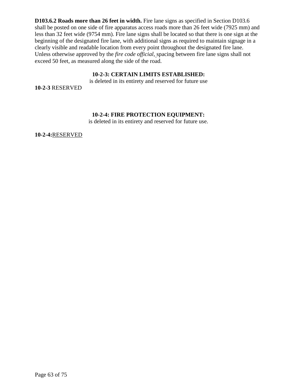**D103.6.2 Roads more than 26 feet in width.** Fire lane signs as specified in Section D103.6 shall be posted on one side of fire apparatus access roads more than 26 feet wide (7925 mm) and less than 32 feet wide (9754 mm). Fire lane signs shall be located so that there is one sign at the beginning of the designated fire lane, with additional signs as required to maintain signage in a clearly visible and readable location from every point throughout the designated fire lane. Unless otherwise approved by the *fire code official*, spacing between fire lane signs shall not exceed 50 feet, as measured along the side of the road.

#### **10-2-3: CERTAIN LIMITS ESTABLISHED:**

is deleted in its entirety and reserved for future use

**10-2-3** RESERVED

#### **10-2-4: FIRE PROTECTION EQUIPMENT:**

is deleted in its entirety and reserved for future use.

**10-2-4:**RESERVED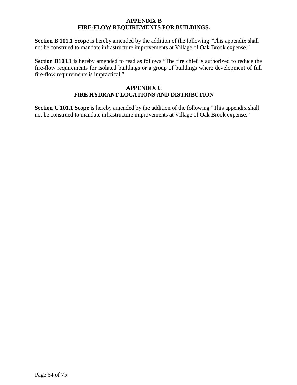#### **APPENDIX B FIRE-FLOW REQUIREMENTS FOR BUILDINGS.**

Section B 101.1 Scope is hereby amended by the addition of the following "This appendix shall not be construed to mandate infrastructure improvements at Village of Oak Brook expense."

**Section B103.1** is hereby amended to read as follows "The fire chief is authorized to reduce the fire-flow requirements for isolated buildings or a group of buildings where development of full fire-flow requirements is impractical."

## **APPENDIX C FIRE HYDRANT LOCATIONS AND DISTRIBUTION**

**Section C 101.1 Scope** is hereby amended by the addition of the following "This appendix shall not be construed to mandate infrastructure improvements at Village of Oak Brook expense."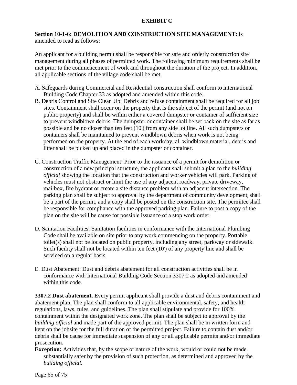# **EXHIBIT C**

#### **Section 10-1-6: DEMOLITION AND CONSTRUCTION SITE MANAGEMENT:** is amended to read as follows:

An applicant for a building permit shall be responsible for safe and orderly construction site management during all phases of permitted work. The following minimum requirements shall be met prior to the commencement of work and throughout the duration of the project. In addition, all applicable sections of the village code shall be met.

- A. Safeguards during Commercial and Residential construction shall conform to International Building Code Chapter 33 as adopted and amended within this code.
- B. Debris Control and Site Clean Up: Debris and refuse containment shall be required for all job sites. Containment shall occur on the property that is the subject of the permit (and not on public property) and shall be within either a covered dumpster or container of sufficient size to prevent windblown debris. The dumpster or container shall be set back on the site as far as possible and be no closer than ten feet (10') from any side lot line. All such dumpsters or containers shall be maintained to prevent windblown debris when work is not being performed on the property. At the end of each workday, all windblown material, debris and litter shall be picked up and placed in the dumpster or container.
- C. Construction Traffic Management: Prior to the issuance of a permit for demolition or construction of a new principal structure, the applicant shall submit a plan to the *building official* showing the location that the construction and worker vehicles will park. Parking of vehicles must not obstruct or limit the use of any adjacent roadway, private driveway, mailbox, fire hydrant or create a site distance problem with an adjacent intersection. The parking plan shall be subject to approval by the department of community development, shall be a part of the permit, and a copy shall be posted on the construction site. The permitee shall be responsible for compliance with the approved parking plan. Failure to post a copy of the plan on the site will be cause for possible issuance of a stop work order.
- D. Sanitation Facilities: Sanitation facilities in conformance with the International Plumbing Code shall be available on site prior to any work commencing on the property. Portable toilet(s) shall not be located on public property, including any street, parkway orsidewalk. Such facility shall not be located within ten feet (10') of any property line and shall be serviced on a regular basis.
- E. Dust Abatement: Dust and debris abatement for all construction activities shall be in conformance with International Building Code Section 3307.2 as adopted and amended within this code.

**3307.2 Dust abatement.** Every permit applicant shall provide a dust and debris containment and abatement plan. The plan shall conform to all applicable environmental, safety, and health regulations, laws, rules, and guidelines. The plan shall stipulate and provide for 100% containment within the designated work zone. The plan shall be subject to approval by the *building official* and made part of the approved permit. The plan shall be in written form and kept on the jobsite for the full duration of the permitted project. Failure to contain dust and/or debris shall be cause for immediate suspension of any or all applicable permits and/or immediate prosecution.

**Exception:** Activities that, by the scope or nature of the work, would or could not be made substantially safer by the provision of such protection, as determined and approved by the *building official*.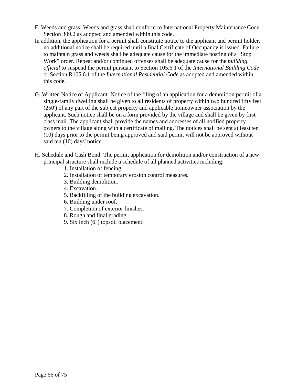- F. Weeds and grass: Weeds and grass shall conform to International Property Maintenance Code Section 309.2 as adopted and amended within this code.
- In addition, the application for a permit shall constitute notice to the applicant and permit holder, no additional notice shall be required until a final Certificate of Occupancy is issued. Failure to maintain grass and weeds shall be adequate cause for the immediate posting of a "Stop Work" order. Repeat and/or continued offenses shall be adequate cause for the *building official* to suspend the permit pursuant to Section 105.6.1 of the *International Building Code*  or Section R105.6.1 of the *International Residential Code* as adopted and amended within this code.
- G. Written Notice of Applicant: Notice of the filing of an application for a demolition permit of a single-family dwelling shall be given to all residents of property within two hundred fifty feet (250') of any part of the subject property and applicable homeowner association by the applicant. Such notice shall be on a form provided by the village and shall be given by first class mail. The applicant shall provide the names and addresses of all notified property owners to the village along with a certificate of mailing. The notices shall be sent at least ten (10) days prior to the permit being approved and said permit will not be approved without said ten (10) days' notice.
- H. Schedule and Cash Bond: The permit application for demolition and/or construction of a new principal structure shall include a schedule of all planned activities including:
	- 1. Installation of fencing.
	- 2. Installation of temporary erosion control measures.
	- 3. Building demolition.
	- 4. Excavation.
	- 5. Backfilling of the building excavation.
	- 6. Building under roof.
	- 7. Completion of exterior finishes.
	- 8. Rough and final grading.
	- 9. Six inch (6") topsoil placement.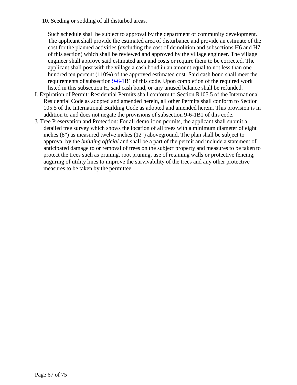10. Seeding or sodding of all disturbed areas.

Such schedule shall be subject to approval by the department of community development. The applicant shall provide the estimated area of disturbance and provide an estimate of the cost for the planned activities (excluding the cost of demolition and subsections H6 and H7 of this section) which shall be reviewed and approved by the village engineer. The village engineer shall approve said estimated area and costs or require them to be corrected. The applicant shall post with the village a cash bond in an amount equal to not less than one hundred ten percent (110%) of the approved estimated cost. Said cash bond shall meet the requirements of subsection [9-6-1B](http://www.sterlingcodifiers.com/codebook/getBookData.php?ft=3&find=9-6-1)1 of this code. Upon completion of the required work listed in this subsection H, said cash bond, or any unused balance shall be refunded.

- I. Expiration of Permit: Residential Permits shall conform to Section R105.5 of the International Residential Code as adopted and amended herein, all other Permits shall conform to Section 105.5 of the International Building Code as adopted and amended herein. This provision is in addition to and does not negate the provisions of subsection [9-6-1B](http://www.sterlingcodifiers.com/codebook/getBookData.php?ft=3&find=9-6-1)1 of this code.
- J. Tree Preservation and Protection: For all demolition permits, the applicant shall submit a detailed tree survey which shows the location of all trees with a minimum diameter of eight inches (8") as measured twelve inches (12") aboveground. The plan shall be subject to approval by the *building official* and shall be a part of the permit and include a statement of anticipated damage to or removal of trees on the subject property and measures to be taken to protect the trees such as pruning, root pruning, use of retaining walls or protective fencing, auguring of utility lines to improve the survivability of the trees and any other protective measures to be taken by the permittee.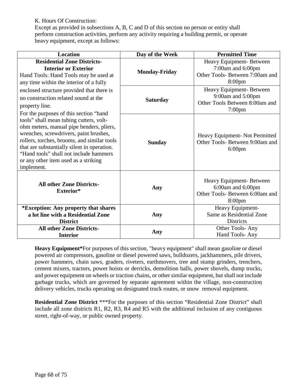K. Hours Of Construction:

Except as provided in subsections A, B, C and D of this section no person or entity shall perform construction activities, perform any activity requiring a building permit, or operate heavy equipment, except as follows:

| <b>Location</b>                                                                                                                                                                                                                                                                                                             | Day of the Week      | <b>Permitted Time</b>                                                                                  |
|-----------------------------------------------------------------------------------------------------------------------------------------------------------------------------------------------------------------------------------------------------------------------------------------------------------------------------|----------------------|--------------------------------------------------------------------------------------------------------|
| <b>Residential Zone Districts-</b><br><b>Interior or Exterior</b><br>Hand Tools: Hand Tools may be used at<br>any time within the interior of a fully                                                                                                                                                                       | <b>Monday-Friday</b> | Heavy Equipment- Between<br>7:00am and 6:00pm<br>Other Tools- Between 7:00am and<br>8:00 <sub>pm</sub> |
| enclosed structure provided that there is<br>no construction related sound at the<br>property line.<br>For the purposes of this section "hand"                                                                                                                                                                              | <b>Saturday</b>      | Heavy Equipment-Between<br>9:00am and 5:00pm<br>Other Tools Between 8:00am and<br>$7:00$ pm            |
| tools" shall mean tubing cutters, volt-<br>ohm meters, manual pipe benders, pliers,<br>wrenches, screwdrivers, paint brushes,<br>rollers, torches, brooms, and similar tools<br>that are substantially silent in operation.<br>"Hand tools" shall not include hammers<br>or any other item used as a striking<br>implement. | <b>Sunday</b>        | Heavy Equipment- Not Permitted<br>Other Tools- Between 9:00am and<br>$6:00 \text{pm}$                  |
| <b>All other Zone Districts-</b><br>Exterior*                                                                                                                                                                                                                                                                               | Any                  | Heavy Equipment-Between<br>6:00am and 6:00pm<br>Other Tools- Between 6:00am and<br>8:00pm              |
| *Exception: Any property that shares<br>a lot line with a Residential Zone<br><b>District</b>                                                                                                                                                                                                                               | Any                  | Heavy Equipment-<br>Same as Residential Zone<br><b>Districts</b>                                       |
| <b>All other Zone Districts-</b><br><b>Interior</b>                                                                                                                                                                                                                                                                         | Any                  | Other Tools-Any<br>Hand Tools-Any                                                                      |

**Heavy Equipment\***For purposes of this section, "heavy equipment" shall mean gasoline or diesel powered air compressors, gasoline or diesel powered saws, bulldozers, jackhammers, pile drivers, power hammers, chain saws, graders, riveters, earthmovers, tree and stump grinders, trenchers, cement mixers, tractors, power hoists or derricks, demolition balls, power shovels, dump trucks, and power equipment on wheels or traction chains, or other similar equipment, but shall not include garbage trucks, which are governed by separate agreement within the village, non-construction delivery vehicles, trucks operating on designated truck routes, or snow removal equipment.

**Residential Zone District** \*\*\*For the purposes of this section "Residential Zone District" shall include all zone districts R1, R2, R3, R4 and R5 with the additional inclusion of any contiguous street, right-of-way, or public owned property.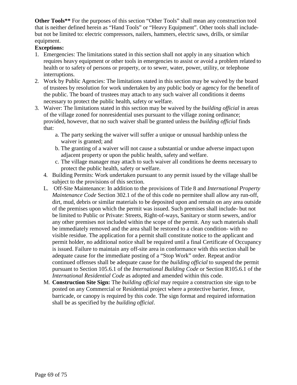**Other Tools\*\*** For the purposes of this section "Other Tools" shall mean any construction tool that is neither defined herein as "Hand Tools" or "Heavy Equipment". Other tools shall includebut not be limited to: electric compressors, nailers, hammers, electric saws, drills, or similar equipment.

# **Exceptions:**

- 1. Emergencies: The limitations stated in this section shall not apply in any situation which requires heavy equipment or other tools in emergencies to assist or avoid a problem related to health or to safety of persons or property, or to sewer, water, power, utility, or telephone interruptions.
- 2. Work by Public Agencies: The limitations stated in this section may be waived by the board of trustees by resolution for work undertaken by any public body or agency for the benefit of the public. The board of trustees may attach to any such waiver all conditions it deems necessary to protect the public health, safety or welfare.
- 3. Waiver: The limitations stated in this section may be waived by the *building official* in areas of the village zoned for nonresidential uses pursuant to the village zoning ordinance; provided, however, that no such waiver shall be granted unless the *building official* finds that:
	- a. The party seeking the waiver will suffer a unique or unusual hardship unless the waiver is granted; and
	- b. The granting of a waiver will not cause a substantial or undue adverse impact upon adjacent property or upon the public health, safety and welfare.
	- c. The village manager may attach to such waiver all conditions he deems necessary to protect the public health, safety or welfare.
	- 4. Building Permits: Work undertaken pursuant to any permit issued by the village shall be subject to the provisions of this section.
	- L. Off-Site Maintenance: In addition to the provisions of Title 8 and *International Property Maintenance Code* Section 302.1 of the of this code no permitee shall allow any run-off, dirt, mud, debris or similar materials to be deposited upon and remain on any area outside of the premises upon which the permit was issued. Such premises shall include- but not be limited to Public or Private: Streets, Right-of-ways, Sanitary or storm sewers, and/or any other premises not included within the scope of the permit. Any such materials shall be immediately removed and the area shall be restored to a clean condition- with no visible residue. The application for a permit shall constitute notice to the applicant and permit holder, no additional notice shall be required until a final Certificate of Occupancy is issued. Failure to maintain any off-site area in conformance with this section shall be adequate cause for the immediate posting of a "Stop Work" order. Repeat and/or continued offenses shall be adequate cause for the *building official* to suspend the permit pursuant to Section 105.6.1 of the *International Building Code* or Section R105.6.1 of the *International Residential Code* as adopted and amended within this code.
	- M. **Construction Site Sign:** The *building official* may require a construction site sign to be posted on any Commercial or Residential project where a protective barrier, fence, barricade, or canopy is required by this code. The sign format and required information shall be as specified by the *building official*.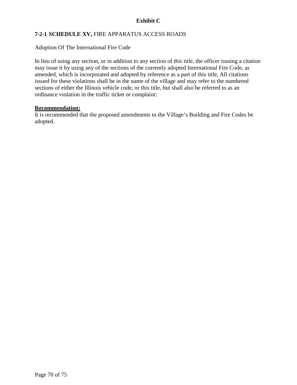# **Exhibit C**

# **7-2-1 SCHEDULE XV,** FIRE APPARATUS ACCESS ROADS

Adoption Of The International Fire Code

In lieu of using any section, or in addition to any section of this title, the officer issuing a citation may issue it by using any of the sections of the currently adopted International Fire Code, as amended, which is incorporated and adopted by reference as a part of this title, All citations issued for these violations shall be in the name of the village and may refer to the numbered sections of either the Illinois vehicle code, or this title, but shall also be referred to as an ordinance violation in the traffic ticket or complaint:

### **Recommendation:**

It is recommended that the proposed amendments to the Village's Building and Fire Codes be adopted.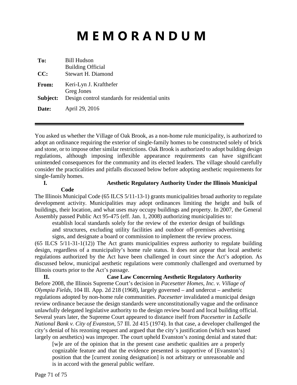# **M E M O R A N D U M**

| To:<br>CC:   | <b>Bill Hudson</b><br><b>Building Official</b><br><b>Stewart H. Diamond</b> |
|--------------|-----------------------------------------------------------------------------|
| <b>From:</b> | Keri-Lyn J. Krafthefer<br>Greg Jones                                        |
| Subject:     | Design control standards for residential units                              |
| Date:        | April 29, 2016                                                              |

You asked us whether the Village of Oak Brook, as a non-home rule municipality, is authorized to adopt an ordinance requiring the exterior of single-family homes to be constructed solely of brick and stone, or to impose other similar restrictions. Oak Brook is authorized to adopt building design regulations, although imposing inflexible appearance requirements can have significant unintended consequences for the community and its elected leaders. The village should carefully consider the practicalities and pitfalls discussed below before adopting aesthetic requirements for single-family homes.

**Code**

#### **I. Aesthetic Regulatory Authority Under the Illinois Municipal**

The Illinois Municipal Code (65 ILCS 5/11-13-1) grants municipalities broad authority to regulate development activity. Municipalities may adopt ordinances limiting the height and bulk of buildings, their location, and what uses may occupy buildings and property. In 2007, the General Assembly passed Public Act 95-475 (eff. Jan. 1, 2008) authorizing municipalities to:

establish local standards solely for the review of the exterior design of buildings and structures, excluding utility facilities and outdoor off-premises advertising signs, and designate a board or commission to implement the review process.

(65 ILCS 5/11-31-1(12)) The Act grants municipalities express authority to regulate building design, regardless of a municipality's home rule status. It does not appear that local aesthetic regulations authorized by the Act have been challenged in court since the Act's adoption. As discussed below, municipal aesthetic regulations were commonly challenged and overturned by Illinois courts prior to the Act's passage.

**II. Case Law Concerning Aesthetic Regulatory Authority** Before 2008, the Illinois Supreme Court's decision in *Pacesetter Homes, Inc. v. Village of Olympia Fields*, 104 Ill. App. 2d 218 (1968), largely governed – and undercut – aesthetic regulations adopted by non-home rule communities. *Pacesetter* invalidated a municipal design review ordinance because the design standards were unconstitutionally vague and the ordinance unlawfully delegated legislative authority to the design review board and local building official. Several years later, the Supreme Court appeared to distance itself from *Pacesetter* in *LaSalle National Bank v. City of Evanston*, 57 Ill. 2d 415 (1974). In that case, a developer challenged the city's denial of his rezoning request and argued that the city's justification (which was based largely on aesthetics) was improper. The court upheld Evanston's zoning denial and stated that:

[w]e are of the opinion that in the present case aesthetic qualities are a properly cognizable feature and that the evidence presented is supportive of [Evanston's] position that the [current zoning designation] is not arbitrary or unreasonable and is in accord with the general public welfare.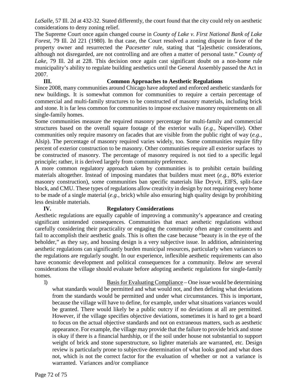LaSalle, 57 Ill. 2d at 432-32. Stated differently, the court found that the city could rely on aesthetic considerations to deny zoning relief.

The Supreme Court once again changed course in *County of Lake v. First National Bank of Lake Forest*, 79 Ill. 2d 221 (1980). In that case, the Court resolved a zoning dispute in favor of the property owner and resurrected the *Pacesetter* rule, stating that "[a]esthetic considerations, although not disregarded, are not controlling and are often a matter of personal taste." *County of Lake*, 79 Ill. 2d at 228. This decision once again cast significant doubt on a non-home rule municipality's ability to regulate building aesthetics until the General Assembly passed the Act in 2007.

# **III. Common Approaches to Aesthetic Regulations**

Since 2008, many communities around Chicago have adopted and enforced aesthetic standards for new buildings. It is somewhat common for communities to require a certain percentage of commercial and multi-family structures to be constructed of masonry materials, including brick and stone. It is far less common for communities to impose exclusive masonry requirements on all single-family homes.

Some communities measure the required masonry percentage for multi-family and commercial structures based on the overall square footage of the exterior walls (*e.g.*, Naperville). Other communities only require masonry on facades that are visible from the public right of way (*e.g.*, Alsip). The percentage of masonry required varies widely, too. Some communities require fifty percent of exterior construction to be masonry. Other communities require all exterior surfaces to be constructed of masonry. The percentage of masonry required is not tied to a specific legal principle; rather, it is derived largely from community preference.

A more common regulatory approach taken by communities is to prohibit certain building materials altogether. Instead of imposing mandates that builders must meet (*e.g.*, 80% exterior masonry construction), some communities ban specific materials like Dryvit, EIFS, split-face block, and CMU. These types of regulations allow creativity in design by not requiring every home to be made of a single material (*e.g.*, brick) while also ensuring high quality design by prohibiting less desirable materials.

# **IV. Regulatory Considerations**

Aesthetic regulations are equally capable of improving a community's appearance and creating significant unintended consequences. Communities that enact aesthetic regulations without carefully considering their practicality or engaging the community often anger constituents and fail to accomplish their aesthetic goals. This is often the case because "beauty is in the eye of the beholder," as they say, and housing design is a very subjective issue. In addition, administering aesthetic regulations can significantly burden municipal resources, particularly when variances to the regulations are regularly sought. In our experience, inflexible aesthetic requirements can also have economic development and political consequences for a community. Below are several considerations the village should evaluate before adopting aesthetic regulations for single-family homes.

1) Basis for Evaluating Compliance – One issue would be determining what standards would be permitted and what would not, and then defining what deviations from the standards would be permitted and under what circumstances. This is important, because the village will have to define, for example, under what situations variances would be granted. There would likely be a public outcry if no deviations at all are permitted. However, if the village specifies objective deviations, sometimes it is hard to get a board to focus on the actual objective standards and not on extraneous matters, such as aesthetic appearance. For example, the village may provide that the failure to provide brick and stone is okay if there is a financial hardship, or if the soil under house not substantial to support weight of brick and stone superstructure, so lighter materials are warranted, etc. Design review is particularly prone to subjective determination of what looks good and what does not, which is not the correct factor for the evaluation of whether or not a variance is warranted. Variances and/or compliance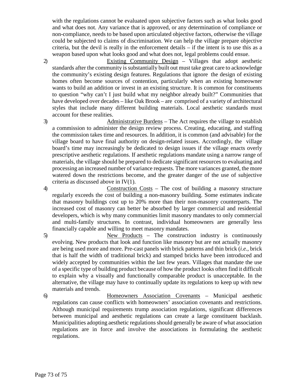with the regulations cannot be evaluated upon subjective factors such as what looks good and what does not. Any variance that is approved, or any determination of compliance or non-compliance, needs to be based upon articulated objective factors, otherwise the village could be subjected to claims of discrimination. We can help the village prepare objective criteria, but the devil is really in the enforcement details – if the intent is to use this as a weapon based upon what looks good and what does not, legal problems could ensue.

2) Existing Community Design – Villages that adopt aesthetic standards after the community is substantially built out must take great care to acknowledge the community's existing design features. Regulations that ignore the design of existing homes often become sources of contention, particularly when an existing homeowner wants to build an addition or invest in an existing structure. It is common for constituents to question "why can't I just build what my neighbor already built?" Communities that have developed over decades – like Oak Brook – are comprised of a variety of architectural styles that include many different building materials. Local aesthetic standards must account for these realities.

3) Administrative Burdens – The Act requires the village to establish a commission to administer the design review process. Creating, educating, and staffing the commission takes time and resources. In addition, it is common (and advisable) for the village board to have final authority on design-related issues. Accordingly, the village board's time may increasingly be dedicated to design issues if the village enacts overly prescriptive aesthetic regulations. If aesthetic regulations mandate using a narrow range of materials, the village should be prepared to dedicate significant resources to evaluating and processing an increased number of variance requests. The more variances granted, the more watered down the restrictions become, and the greater danger of the use of subjective criteria as discussed above in IV(1).

4) Construction Costs – The cost of building a masonry structure regularly exceeds the cost of building a non-masonry building. Some estimates indicate that masonry buildings cost up to 20% more than their non-masonry counterparts. The increased cost of masonry can better be absorbed by larger commercial and residential developers, which is why many communities limit masonry mandates to only commercial and multi-family structures. In contrast, individual homeowners are generally less financially capable and willing to meet masonry mandates.

5) New Products – The construction industry is continuously evolving. New products that look and function like masonry but are not actually masonry are being used more and more. Pre-cast panels with brick patterns and thin brick (*i.e.*, brick that is half the width of traditional brick) and stamped bricks have been introduced and widely accepted by communities within the last few years. Villages that mandate the use of a specific type of building product because of how the product looks often find it difficult to explain why a visually and functionally comparable product is unacceptable. In the alternative, the village may have to continually update its regulations to keep up with new materials and trends.

6) Homeowners Association Covenants – Municipal aesthetic regulations can cause conflicts with homeowners' association covenants and restrictions. Although municipal requirements trump association regulations, significant differences between municipal and aesthetic regulations can create a large constituent backlash. Municipalities adopting aesthetic regulations should generally be aware of what association regulations are in force and involve the associations in formulating the aesthetic regulations.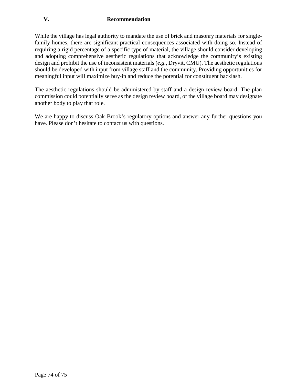## **V. Recommendation**

While the village has legal authority to mandate the use of brick and masonry materials for singlefamily homes, there are significant practical consequences associated with doing so. Instead of requiring a rigid percentage of a specific type of material, the village should consider developing and adopting comprehensive aesthetic regulations that acknowledge the community's existing design and prohibit the use of inconsistent materials (*e.g.*, Dryvit, CMU). The aesthetic regulations should be developed with input from village staff and the community. Providing opportunities for meaningful input will maximize buy-in and reduce the potential for constituent backlash.

The aesthetic regulations should be administered by staff and a design review board. The plan commission could potentially serve as the design review board, or the village board may designate another body to play that role.

We are happy to discuss Oak Brook's regulatory options and answer any further questions you have. Please don't hesitate to contact us with questions.